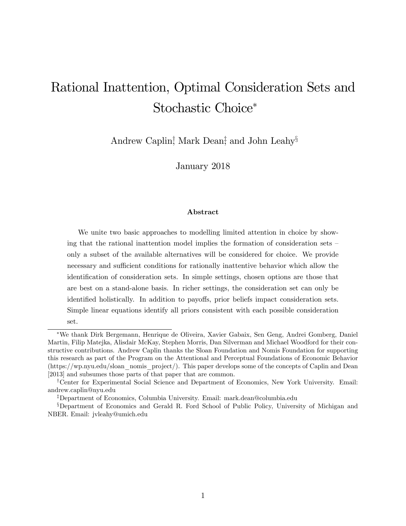# Rational Inattention, Optimal Consideration Sets and Stochastic Choice\*

Andrew Caplin<sup>†</sup>, Mark Dean<sup>‡</sup> and John Leahy<sup>§</sup>

January 2018

#### Abstract

We unite two basic approaches to modelling limited attention in choice by showing that the rational inattention model implies the formation of consideration sets  $\overline{\phantom{a}}$ only a subset of the available alternatives will be considered for choice. We provide necessary and sufficient conditions for rationally inattentive behavior which allow the identification of consideration sets. In simple settings, chosen options are those that are best on a stand-alone basis. In richer settings, the consideration set can only be identified holistically. In addition to payoffs, prior beliefs impact consideration sets. Simple linear equations identify all priors consistent with each possible consideration set.

We thank Dirk Bergemann, Henrique de Oliveira, Xavier Gabaix, Sen Geng, Andrei Gomberg, Daniel Martin, Filip Matejka, Alisdair McKay, Stephen Morris, Dan Silverman and Michael Woodford for their constructive contributions. Andrew Caplin thanks the Sloan Foundation and Nomis Foundation for supporting this research as part of the Program on the Attentional and Perceptual Foundations of Economic Behavior (https://wp.nyu.edu/sloan\_nomis\_project/). This paper develops some of the concepts of Caplin and Dean [2013] and subsumes those parts of that paper that are common.

<sup>&</sup>lt;sup>†</sup>Center for Experimental Social Science and Department of Economics, New York University. Email: andrew.caplin@nyu.edu

<sup>z</sup>Department of Economics, Columbia University. Email: mark.dean@columbia.edu

<sup>&</sup>lt;sup>§</sup>Department of Economics and Gerald R. Ford School of Public Policy, University of Michigan and NBER. Email: jvleahy@umich.edu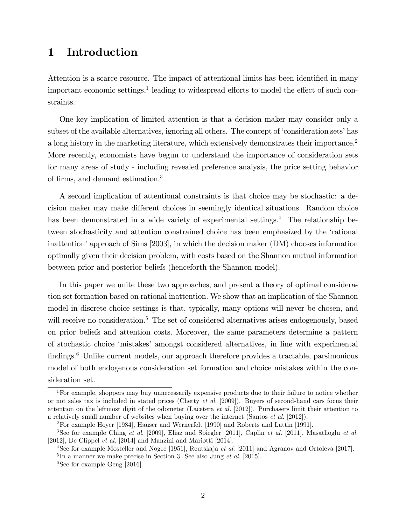# 1 Introduction

Attention is a scarce resource. The impact of attentional limits has been identified in many important economic settings,<sup>1</sup> leading to widespread efforts to model the effect of such constraints.

One key implication of limited attention is that a decision maker may consider only a subset of the available alternatives, ignoring all others. The concept of 'consideration sets' has a long history in the marketing literature, which extensively demonstrates their importance.<sup>2</sup> More recently, economists have begun to understand the importance of consideration sets for many areas of study - including revealed preference analysis, the price setting behavior of firms, and demand estimation.<sup>3</sup>

A second implication of attentional constraints is that choice may be stochastic: a decision maker may make different choices in seemingly identical situations. Random choice has been demonstrated in a wide variety of experimental settings.<sup>4</sup> The relationship between stochasticity and attention constrained choice has been emphasized by the ërational inattention' approach of Sims [2003], in which the decision maker (DM) chooses information optimally given their decision problem, with costs based on the Shannon mutual information between prior and posterior beliefs (henceforth the Shannon model).

In this paper we unite these two approaches, and present a theory of optimal consideration set formation based on rational inattention. We show that an implication of the Shannon model in discrete choice settings is that, typically, many options will never be chosen, and will receive no consideration.<sup>5</sup> The set of considered alternatives arises endogenously, based on prior beliefs and attention costs. Moreover, the same parameters determine a pattern of stochastic choice ëmistakesí amongst considered alternatives, in line with experimental findings.<sup>6</sup> Unlike current models, our approach therefore provides a tractable, parsimonious model of both endogenous consideration set formation and choice mistakes within the consideration set.

<sup>&</sup>lt;sup>1</sup>For example, shoppers may buy unnecessarily expensive products due to their failure to notice whether or not sales tax is included in stated prices (Chetty  $et \ al.$  [2009]). Buyers of second-hand cars focus their attention on the leftmost digit of the odometer (Lacetera  $et \ al.$  [2012]). Purchasers limit their attention to a relatively small number of websites when buying over the internet (Santos et al. [2012]).

<sup>2</sup>For example Hoyer [1984], Hauser and Wernerfelt [1990] and Roberts and Lattin [1991].

<sup>&</sup>lt;sup>3</sup>See for example Ching *et al.* [2009], Eliaz and Spiegler [2011], Caplin *et al.* [2011], Masatlioglu *et al.* [2012], De Clippel et al. [2014] and Manzini and Mariotti [2014].

<sup>&</sup>lt;sup>4</sup>See for example Mosteller and Nogee [1951], Reutskaja *et al.* [2011] and Agranov and Ortoleva [2017].  ${}^{5}$ In a manner we make precise in Section 3. See also Jung *et al.* [2015].

 ${}^{6}$ See for example Geng [2016].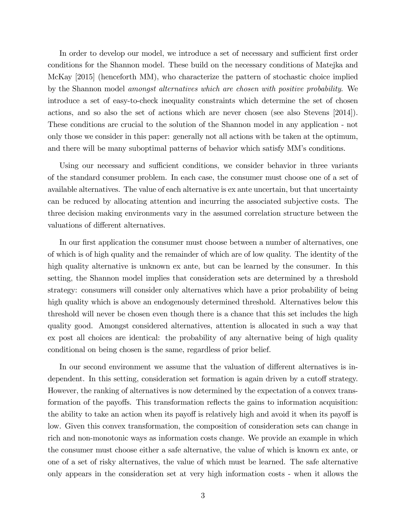In order to develop our model, we introduce a set of necessary and sufficient first order conditions for the Shannon model. These build on the necessary conditions of Matejka and McKay [2015] (henceforth MM), who characterize the pattern of stochastic choice implied by the Shannon model amongst alternatives which are chosen with positive probability. We introduce a set of easy-to-check inequality constraints which determine the set of chosen actions, and so also the set of actions which are never chosen (see also Stevens [2014]). These conditions are crucial to the solution of the Shannon model in any application - not only those we consider in this paper: generally not all actions with be taken at the optimum, and there will be many suboptimal patterns of behavior which satisfy MM's conditions.

Using our necessary and sufficient conditions, we consider behavior in three variants of the standard consumer problem. In each case, the consumer must choose one of a set of available alternatives. The value of each alternative is ex ante uncertain, but that uncertainty can be reduced by allocating attention and incurring the associated subjective costs. The three decision making environments vary in the assumed correlation structure between the valuations of different alternatives.

In our first application the consumer must choose between a number of alternatives, one of which is of high quality and the remainder of which are of low quality. The identity of the high quality alternative is unknown ex ante, but can be learned by the consumer. In this setting, the Shannon model implies that consideration sets are determined by a threshold strategy: consumers will consider only alternatives which have a prior probability of being high quality which is above an endogenously determined threshold. Alternatives below this threshold will never be chosen even though there is a chance that this set includes the high quality good. Amongst considered alternatives, attention is allocated in such a way that ex post all choices are identical: the probability of any alternative being of high quality conditional on being chosen is the same, regardless of prior belief.

In our second environment we assume that the valuation of different alternatives is independent. In this setting, consideration set formation is again driven by a cutoff strategy. However, the ranking of alternatives is now determined by the expectation of a convex transformation of the payoffs. This transformation reflects the gains to information acquisition: the ability to take an action when its payoff is relatively high and avoid it when its payoff is low. Given this convex transformation, the composition of consideration sets can change in rich and non-monotonic ways as information costs change. We provide an example in which the consumer must choose either a safe alternative, the value of which is known ex ante, or one of a set of risky alternatives, the value of which must be learned. The safe alternative only appears in the consideration set at very high information costs - when it allows the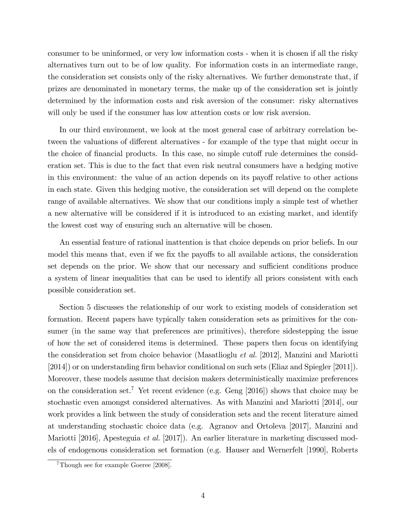consumer to be uninformed, or very low information costs - when it is chosen if all the risky alternatives turn out to be of low quality. For information costs in an intermediate range, the consideration set consists only of the risky alternatives. We further demonstrate that, if prizes are denominated in monetary terms, the make up of the consideration set is jointly determined by the information costs and risk aversion of the consumer: risky alternatives will only be used if the consumer has low attention costs or low risk aversion.

In our third environment, we look at the most general case of arbitrary correlation between the valuations of different alternatives - for example of the type that might occur in the choice of financial products. In this case, no simple cutoff rule determines the consideration set. This is due to the fact that even risk neutral consumers have a hedging motive in this environment: the value of an action depends on its payoff relative to other actions in each state. Given this hedging motive, the consideration set will depend on the complete range of available alternatives. We show that our conditions imply a simple test of whether a new alternative will be considered if it is introduced to an existing market, and identify the lowest cost way of ensuring such an alternative will be chosen.

An essential feature of rational inattention is that choice depends on prior beliefs. In our model this means that, even if we fix the payoffs to all available actions, the consideration set depends on the prior. We show that our necessary and sufficient conditions produce a system of linear inequalities that can be used to identify all priors consistent with each possible consideration set.

Section 5 discusses the relationship of our work to existing models of consideration set formation. Recent papers have typically taken consideration sets as primitives for the consumer (in the same way that preferences are primitives), therefore sidestepping the issue of how the set of considered items is determined. These papers then focus on identifying the consideration set from choice behavior (Masatlioglu et al. [2012], Manzini and Mariotti [2014]) or on understanding firm behavior conditional on such sets (Eliaz and Spiegler [2011]). Moreover, these models assume that decision makers deterministically maximize preferences on the consideration set.<sup>7</sup> Yet recent evidence (e.g. Geng [2016]) shows that choice may be stochastic even amongst considered alternatives. As with Manzini and Mariotti [2014], our work provides a link between the study of consideration sets and the recent literature aimed at understanding stochastic choice data (e.g. Agranov and Ortoleva [2017], Manzini and Mariotti [2016], Apesteguia et al. [2017]). An earlier literature in marketing discussed models of endogenous consideration set formation (e.g. Hauser and Wernerfelt [1990], Roberts

<sup>7</sup>Though see for example Goeree [2008].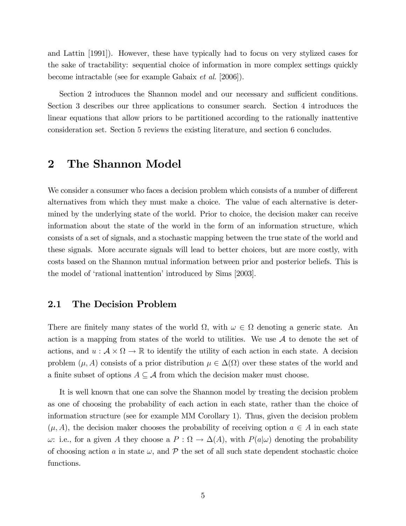and Lattin [1991]). However, these have typically had to focus on very stylized cases for the sake of tractability: sequential choice of information in more complex settings quickly become intractable (see for example Gabaix et al. [2006]).

Section 2 introduces the Shannon model and our necessary and sufficient conditions. Section 3 describes our three applications to consumer search. Section 4 introduces the linear equations that allow priors to be partitioned according to the rationally inattentive consideration set. Section 5 reviews the existing literature, and section 6 concludes.

# 2 The Shannon Model

We consider a consumer who faces a decision problem which consists of a number of different alternatives from which they must make a choice. The value of each alternative is determined by the underlying state of the world. Prior to choice, the decision maker can receive information about the state of the world in the form of an information structure, which consists of a set of signals, and a stochastic mapping between the true state of the world and these signals. More accurate signals will lead to better choices, but are more costly, with costs based on the Shannon mutual information between prior and posterior beliefs. This is the model of 'rational inattention' introduced by Sims [2003].

### 2.1 The Decision Problem

There are finitely many states of the world  $\Omega$ , with  $\omega \in \Omega$  denoting a generic state. An action is a mapping from states of the world to utilities. We use  $A$  to denote the set of actions, and  $u : \mathcal{A} \times \Omega \to \mathbb{R}$  to identify the utility of each action in each state. A decision problem  $(\mu, A)$  consists of a prior distribution  $\mu \in \Delta(\Omega)$  over these states of the world and a finite subset of options  $A \subseteq \mathcal{A}$  from which the decision maker must choose.

It is well known that one can solve the Shannon model by treating the decision problem as one of choosing the probability of each action in each state, rather than the choice of information structure (see for example MM Corollary 1). Thus, given the decision problem  $(\mu, A)$ , the decision maker chooses the probability of receiving option  $a \in A$  in each state  $\omega$ : i.e., for a given A they choose a  $P : \Omega \to \Delta(A)$ , with  $P(a|\omega)$  denoting the probability of choosing action a in state  $\omega$ , and  $\mathcal P$  the set of all such state dependent stochastic choice functions.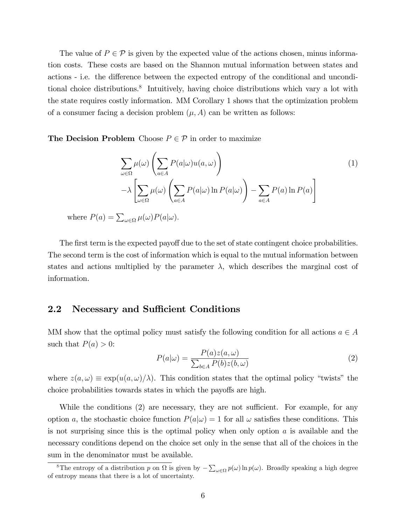The value of  $P \in \mathcal{P}$  is given by the expected value of the actions chosen, minus information costs. These costs are based on the Shannon mutual information between states and actions - i.e. the difference between the expected entropy of the conditional and unconditional choice distributions.<sup>8</sup> Intuitively, having choice distributions which vary a lot with the state requires costly information. MM Corollary 1 shows that the optimization problem of a consumer facing a decision problem  $(\mu, A)$  can be written as follows:

The Decision Problem Choose  $P \in \mathcal{P}$  in order to maximize

$$
\sum_{\omega \in \Omega} \mu(\omega) \left( \sum_{a \in A} P(a|\omega) u(a, \omega) \right)
$$
  

$$
-\lambda \left[ \sum_{\omega \in \Omega} \mu(\omega) \left( \sum_{a \in A} P(a|\omega) \ln P(a|\omega) \right) - \sum_{a \in A} P(a) \ln P(a) \right]
$$
  

$$
\sum_{\omega \in \Omega} \mu(\omega) \left( \sum_{a \in A} P(a|\omega) \ln P(a|\omega) \right)
$$
 (1)

where  $P(a) = \sum_{\omega \in \Omega} \mu(\omega) P(a|\omega)$ .

The first term is the expected payoff due to the set of state contingent choice probabilities. The second term is the cost of information which is equal to the mutual information between states and actions multiplied by the parameter  $\lambda$ , which describes the marginal cost of information.

### 2.2 Necessary and Sufficient Conditions

MM show that the optimal policy must satisfy the following condition for all actions  $a \in A$ such that  $P(a) > 0$ :

$$
P(a|\omega) = \frac{P(a)z(a,\omega)}{\sum_{b \in A} P(b)z(b,\omega)}\tag{2}
$$

where  $z(a,\omega) \equiv \exp(u(a,\omega)/\lambda)$ . This condition states that the optimal policy "twists" the choice probabilities towards states in which the payoffs are high.

While the conditions (2) are necessary, they are not sufficient. For example, for any option a, the stochastic choice function  $P(a|\omega) = 1$  for all  $\omega$  satisfies these conditions. This is not surprising since this is the optimal policy when only option  $a$  is available and the necessary conditions depend on the choice set only in the sense that all of the choices in the sum in the denominator must be available.

<sup>&</sup>lt;sup>8</sup>The entropy of a distribution p on  $\Omega$  is given by  $-\sum_{\omega\in\Omega}p(\omega)\ln p(\omega)$ . Broadly speaking a high degree of entropy means that there is a lot of uncertainty.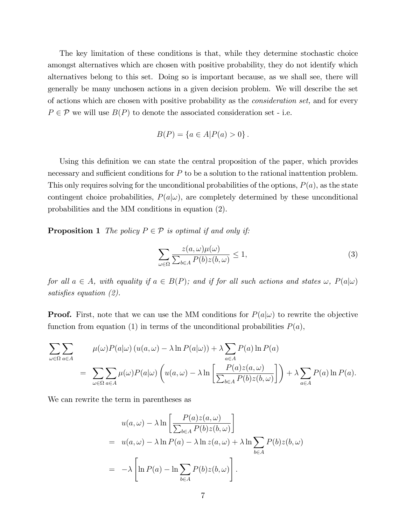The key limitation of these conditions is that, while they determine stochastic choice amongst alternatives which are chosen with positive probability, they do not identify which alternatives belong to this set. Doing so is important because, as we shall see, there will generally be many unchosen actions in a given decision problem. We will describe the set of actions which are chosen with positive probability as the consideration set, and for every  $P \in \mathcal{P}$  we will use  $B(P)$  to denote the associated consideration set - i.e.

$$
B(P) = \{a \in A | P(a) > 0\}.
$$

Using this definition we can state the central proposition of the paper, which provides necessary and sufficient conditions for  $P$  to be a solution to the rational inattention problem. This only requires solving for the unconditional probabilities of the options,  $P(a)$ , as the state contingent choice probabilities,  $P(a|\omega)$ , are completely determined by these unconditional probabilities and the MM conditions in equation (2).

**Proposition 1** The policy  $P \in \mathcal{P}$  is optimal if and only if:

$$
\sum_{\omega \in \Omega} \frac{z(a,\omega)\mu(\omega)}{\sum_{b \in A} P(b)z(b,\omega)} \le 1,
$$
\n(3)

for all  $a \in A$ , with equality if  $a \in B(P)$ ; and if for all such actions and states  $\omega$ ,  $P(a|\omega)$ satisfies equation  $(2)$ .

**Proof.** First, note that we can use the MM conditions for  $P(a|\omega)$  to rewrite the objective function from equation (1) in terms of the unconditional probabilities  $P(a)$ ,

$$
\sum_{\omega \in \Omega} \sum_{a \in A} \mu(\omega) P(a|\omega) (u(a, \omega) - \lambda \ln P(a|\omega)) + \lambda \sum_{a \in A} P(a) \ln P(a)
$$
  
= 
$$
\sum_{\omega \in \Omega} \sum_{a \in A} \mu(\omega) P(a|\omega) \left( u(a, \omega) - \lambda \ln \left[ \frac{P(a)z(a, \omega)}{\sum_{b \in A} P(b)z(b, \omega)} \right] \right) + \lambda \sum_{a \in A} P(a) \ln P(a).
$$

We can rewrite the term in parentheses as

$$
u(a,\omega) - \lambda \ln \left[ \frac{P(a)z(a,\omega)}{\sum_{b \in A} P(b)z(b,\omega)} \right]
$$
  
=  $u(a,\omega) - \lambda \ln P(a) - \lambda \ln z(a,\omega) + \lambda \ln \sum_{b \in A} P(b)z(b,\omega)$   
=  $-\lambda \left[ \ln P(a) - \ln \sum_{b \in A} P(b)z(b,\omega) \right].$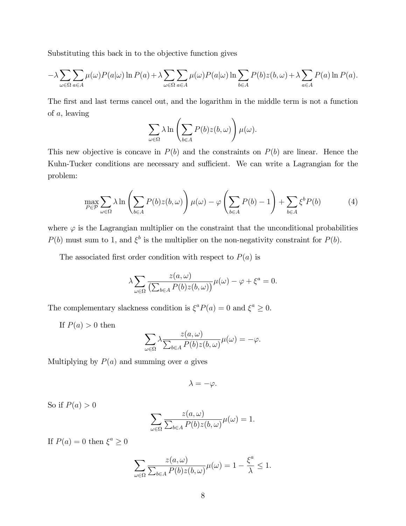Substituting this back in to the objective function gives

$$
-\lambda \sum_{\omega \in \Omega} \sum_{a \in A} \mu(\omega) P(a|\omega) \ln P(a) + \lambda \sum_{\omega \in \Omega} \sum_{a \in A} \mu(\omega) P(a|\omega) \ln \sum_{b \in A} P(b) z(b, \omega) + \lambda \sum_{a \in A} P(a) \ln P(a).
$$

The first and last terms cancel out, and the logarithm in the middle term is not a function of a, leaving

$$
\sum_{\omega \in \Omega} \lambda \ln \left( \sum_{b \in A} P(b) z(b, \omega) \right) \mu(\omega).
$$

This new objective is concave in  $P(b)$  and the constraints on  $P(b)$  are linear. Hence the Kuhn-Tucker conditions are necessary and sufficient. We can write a Lagrangian for the problem:

$$
\max_{P \in \mathcal{P}} \sum_{\omega \in \Omega} \lambda \ln \left( \sum_{b \in A} P(b) z(b, \omega) \right) \mu(\omega) - \varphi \left( \sum_{b \in A} P(b) - 1 \right) + \sum_{b \in A} \xi^b P(b) \tag{4}
$$

where  $\varphi$  is the Lagrangian multiplier on the constraint that the unconditional probabilities  $P(b)$  must sum to 1, and  $\xi^b$  is the multiplier on the non-negativity constraint for  $P(b)$ .

The associated first order condition with respect to  $P(a)$  is

$$
\lambda \sum_{\omega \in \Omega} \frac{z(a, \omega)}{\left(\sum_{b \in A} P(b) z(b, \omega)\right)} \mu(\omega) - \varphi + \xi^a = 0.
$$

The complementary slackness condition is  $\xi^a P(a) = 0$  and  $\xi^a \ge 0$ .

If  $P(a) > 0$  then

$$
\sum_{\omega \in \Omega} \lambda \frac{z(a,\omega)}{\sum_{b \in A} P(b) z(b,\omega)} \mu(\omega) = -\varphi.
$$

Multiplying by  $P(a)$  and summing over a gives

 $\lambda = -\varphi.$ 

So if  $P(a) > 0$ 

$$
\sum_{\omega \in \Omega} \frac{z(a,\omega)}{\sum_{b \in A} P(b) z(b,\omega)} \mu(\omega) = 1.
$$

If  $P(a) = 0$  then  $\xi^a \ge 0$ 

$$
\sum_{\omega \in \Omega} \frac{z(a,\omega)}{\sum_{b \in A} P(b)z(b,\omega)} \mu(\omega) = 1 - \frac{\xi^a}{\lambda} \le 1.
$$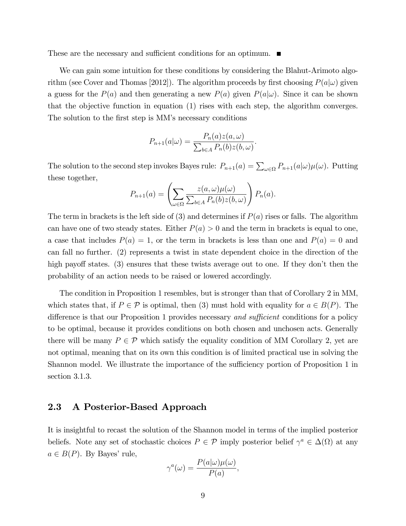These are the necessary and sufficient conditions for an optimum.  $\blacksquare$ 

We can gain some intuition for these conditions by considering the Blahut-Arimoto algorithm (see Cover and Thomas [2012]). The algorithm proceeds by first choosing  $P(a|\omega)$  given a guess for the  $P(a)$  and then generating a new  $P(a)$  given  $P(a|\omega)$ . Since it can be shown that the objective function in equation (1) rises with each step, the algorithm converges. The solution to the first step is MM's necessary conditions

$$
P_{n+1}(a|\omega) = \frac{P_n(a)z(a,\omega)}{\sum_{b \in A} P_n(b)z(b,\omega)}.
$$

The solution to the second step invokes Bayes rule:  $P_{n+1}(a) = \sum_{\omega \in \Omega} P_{n+1}(a|\omega) \mu(\omega)$ . Putting these together,

$$
P_{n+1}(a) = \left(\sum_{\omega \in \Omega} \frac{z(a,\omega)\mu(\omega)}{\sum_{b \in A} P_n(b)z(b,\omega)}\right) P_n(a).
$$

The term in brackets is the left side of  $(3)$  and determines if  $P(a)$  rises or falls. The algorithm can have one of two steady states. Either  $P(a) > 0$  and the term in brackets is equal to one, a case that includes  $P(a) = 1$ , or the term in brackets is less than one and  $P(a) = 0$  and can fall no further. (2) represents a twist in state dependent choice in the direction of the high payoff states. (3) ensures that these twists average out to one. If they don't then the probability of an action needs to be raised or lowered accordingly.

The condition in Proposition 1 resembles, but is stronger than that of Corollary 2 in MM, which states that, if  $P \in \mathcal{P}$  is optimal, then (3) must hold with equality for  $a \in B(P)$ . The difference is that our Proposition 1 provides necessary *and sufficient* conditions for a policy to be optimal, because it provides conditions on both chosen and unchosen acts. Generally there will be many  $P \in \mathcal{P}$  which satisfy the equality condition of MM Corollary 2, yet are not optimal, meaning that on its own this condition is of limited practical use in solving the Shannon model. We illustrate the importance of the sufficiency portion of Proposition 1 in section 3.1.3.

### 2.3 A Posterior-Based Approach

It is insightful to recast the solution of the Shannon model in terms of the implied posterior beliefs. Note any set of stochastic choices  $P \in \mathcal{P}$  imply posterior belief  $\gamma^a \in \Delta(\Omega)$  at any  $a \in B(P)$ . By Bayes' rule,

$$
\gamma^{a}(\omega) = \frac{P(a|\omega)\mu(\omega)}{P(a)},
$$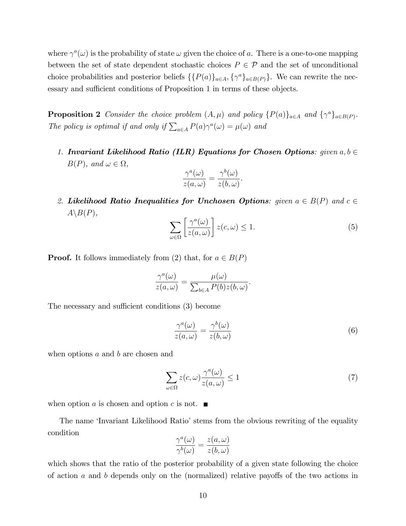where  $\gamma^a(\omega)$  is the probability of state  $\omega$  given the choice of a. There is a one-to-one mapping between the set of state dependent stochastic choices  $P \in \mathcal{P}$  and the set of unconditional choice probabilities and posterior beliefs  $\{\{P(a)\}_{a\in A}, \{\gamma^a\}_{a\in B(P)}\}$ . We can rewrite the necessary and sufficient conditions of Proposition 1 in terms of these objects.

**Proposition 2** Consider the choice problem  $(A, \mu)$  and policy  $\{P(a)\}_{a \in A}$  and  $\{\gamma^a\}_{a \in B(P)}$ . The policy is optimal if and only if  $\sum_{a \in A} P(a) \gamma^a(\omega) = \mu(\omega)$  and

1. Invariant Likelihood Ratio (ILR) Equations for Chosen Options: given  $a, b \in$  $B(P)$ , and  $\omega \in \Omega$ ,

$$
\frac{\gamma^a(\omega)}{z(a,\omega)} = \frac{\gamma^b(\omega)}{z(b,\omega)}.
$$

2. Likelihood Ratio Inequalities for Unchosen Options: given  $a \in B(P)$  and  $c \in$  $A \backslash B(P)$ ,

$$
\sum_{\omega \in \Omega} \left[ \frac{\gamma^a(\omega)}{z(a,\omega)} \right] z(c,\omega) \le 1.
$$
 (5)

**Proof.** It follows immediately from (2) that, for  $a \in B(P)$ 

$$
\frac{\gamma^a(\omega)}{z(a,\omega)} = \frac{\mu(\omega)}{\sum_{b \in A} P(b) z(b,\omega)}.
$$

The necessary and sufficient conditions (3) become

$$
\frac{\gamma^a(\omega)}{z(a,\omega)} = \frac{\gamma^b(\omega)}{z(b,\omega)}\tag{6}
$$

when options  $a$  and  $b$  are chosen and

$$
\sum_{\omega \in \Omega} z(c, \omega) \frac{\gamma^a(\omega)}{z(a, \omega)} \le 1 \tag{7}
$$

when option a is chosen and option c is not.  $\blacksquare$ 

The name 'Invariant Likelihood Ratio' stems from the obvious rewriting of the equality condition

$$
\frac{\gamma^a(\omega)}{\gamma^b(\omega)} = \frac{z(a,\omega)}{z(b,\omega)}
$$

which shows that the ratio of the posterior probability of a given state following the choice of action  $a$  and  $b$  depends only on the (normalized) relative payoffs of the two actions in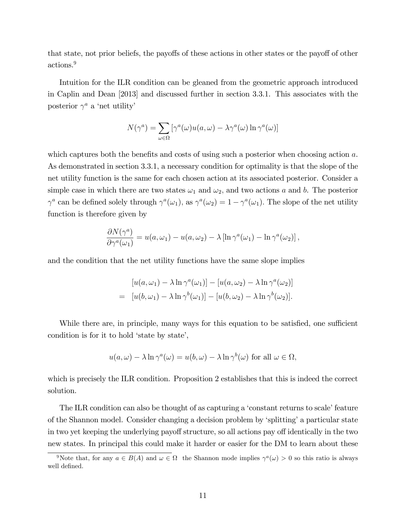that state, not prior beliefs, the payoffs of these actions in other states or the payoff of other actions.<sup>9</sup>

Intuition for the ILR condition can be gleaned from the geometric approach introduced in Caplin and Dean [2013] and discussed further in section 3.3.1. This associates with the posterior  $\gamma^a$  a 'net utility'

$$
N(\gamma^{a}) = \sum_{\omega \in \Omega} [\gamma^{a}(\omega)u(a, \omega) - \lambda \gamma^{a}(\omega) \ln \gamma^{a}(\omega)]
$$

which captures both the benefits and costs of using such a posterior when choosing action  $a$ . As demonstrated in section 3.3.1, a necessary condition for optimality is that the slope of the net utility function is the same for each chosen action at its associated posterior. Consider a simple case in which there are two states  $\omega_1$  and  $\omega_2$ , and two actions a and b. The posterior  $\gamma^a$  can be defined solely through  $\gamma^a(\omega_1)$ , as  $\gamma^a(\omega_2) = 1 - \gamma^a(\omega_1)$ . The slope of the net utility function is therefore given by

$$
\frac{\partial N(\gamma^a)}{\partial \gamma^a(\omega_1)} = u(a,\omega_1) - u(a,\omega_2) - \lambda \left[ \ln \gamma^a(\omega_1) - \ln \gamma^a(\omega_2) \right],
$$

and the condition that the net utility functions have the same slope implies

$$
[u(a,\omega_1) - \lambda \ln \gamma^a(\omega_1)] - [u(a,\omega_2) - \lambda \ln \gamma^a(\omega_2)]
$$
  
= 
$$
[u(b,\omega_1) - \lambda \ln \gamma^b(\omega_1)] - [u(b,\omega_2) - \lambda \ln \gamma^b(\omega_2)].
$$

While there are, in principle, many ways for this equation to be satisfied, one sufficient condition is for it to hold 'state by state',

$$
u(a,\omega) - \lambda \ln \gamma^{a}(\omega) = u(b,\omega) - \lambda \ln \gamma^{b}(\omega) \text{ for all } \omega \in \Omega,
$$

which is precisely the ILR condition. Proposition 2 establishes that this is indeed the correct solution.

The ILR condition can also be thought of as capturing a 'constant returns to scale' feature of the Shannon model. Consider changing a decision problem by 'splitting' a particular state in two yet keeping the underlying payoff structure, so all actions pay off identically in the two new states. In principal this could make it harder or easier for the DM to learn about these

<sup>&</sup>lt;sup>9</sup>Note that, for any  $a \in B(A)$  and  $\omega \in \Omega$  the Shannon mode implies  $\gamma^a(\omega) > 0$  so this ratio is always well defined.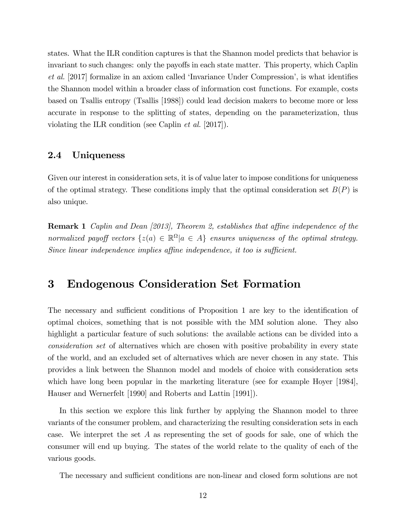states. What the ILR condition captures is that the Shannon model predicts that behavior is invariant to such changes: only the payoffs in each state matter. This property, which Caplin  $et \ al.$  [2017] formalize in an axiom called 'Invariance Under Compression', is what identifies the Shannon model within a broader class of information cost functions. For example, costs based on Tsallis entropy (Tsallis [1988]) could lead decision makers to become more or less accurate in response to the splitting of states, depending on the parameterization, thus violating the ILR condition (see Caplin et al. [2017]).

### 2.4 Uniqueness

Given our interest in consideration sets, it is of value later to impose conditions for uniqueness of the optimal strategy. These conditions imply that the optimal consideration set  $B(P)$  is also unique.

**Remark 1** Caplin and Dean [2013], Theorem 2, establishes that affine independence of the normalized payoff vectors  $\{z(a) \in \mathbb{R}^{\Omega} | a \in A\}$  ensures uniqueness of the optimal strategy. Since linear independence implies affine independence, it too is sufficient.

# 3 Endogenous Consideration Set Formation

The necessary and sufficient conditions of Proposition 1 are key to the identification of optimal choices, something that is not possible with the MM solution alone. They also highlight a particular feature of such solutions: the available actions can be divided into a consideration set of alternatives which are chosen with positive probability in every state of the world, and an excluded set of alternatives which are never chosen in any state. This provides a link between the Shannon model and models of choice with consideration sets which have long been popular in the marketing literature (see for example Hoyer [1984], Hauser and Wernerfelt [1990] and Roberts and Lattin [1991]).

In this section we explore this link further by applying the Shannon model to three variants of the consumer problem, and characterizing the resulting consideration sets in each case. We interpret the set A as representing the set of goods for sale, one of which the consumer will end up buying. The states of the world relate to the quality of each of the various goods.

The necessary and sufficient conditions are non-linear and closed form solutions are not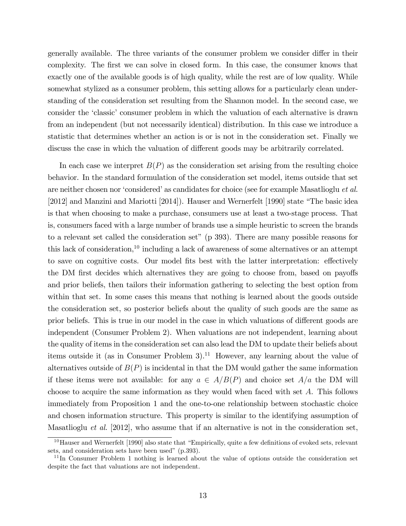generally available. The three variants of the consumer problem we consider differ in their complexity. The first we can solve in closed form. In this case, the consumer knows that exactly one of the available goods is of high quality, while the rest are of low quality. While somewhat stylized as a consumer problem, this setting allows for a particularly clean understanding of the consideration set resulting from the Shannon model. In the second case, we consider the 'classic' consumer problem in which the valuation of each alternative is drawn from an independent (but not necessarily identical) distribution. In this case we introduce a statistic that determines whether an action is or is not in the consideration set. Finally we discuss the case in which the valuation of different goods may be arbitrarily correlated.

In each case we interpret  $B(P)$  as the consideration set arising from the resulting choice behavior. In the standard formulation of the consideration set model, items outside that set are neither chosen nor 'considered' as candidates for choice (see for example Masatlioglu et al.  $[2012]$  and Manzini and Mariotti  $[2014]$ . Hauser and Wernerfelt  $[1990]$  state "The basic idea is that when choosing to make a purchase, consumers use at least a two-stage process. That is, consumers faced with a large number of brands use a simple heuristic to screen the brands to a relevant set called the consideration set" (p 393). There are many possible reasons for this lack of consideration,<sup>10</sup> including a lack of awareness of some alternatives or an attempt to save on cognitive costs. Our model fits best with the latter interpretation: effectively the DM first decides which alternatives they are going to choose from, based on payoffs and prior beliefs, then tailors their information gathering to selecting the best option from within that set. In some cases this means that nothing is learned about the goods outside the consideration set, so posterior beliefs about the quality of such goods are the same as prior beliefs. This is true in our model in the case in which valuations of different goods are independent (Consumer Problem 2). When valuations are not independent, learning about the quality of items in the consideration set can also lead the DM to update their beliefs about items outside it (as in Consumer Problem 3).<sup>11</sup> However, any learning about the value of alternatives outside of  $B(P)$  is incidental in that the DM would gather the same information if these items were not available: for any  $a \in A/B(P)$  and choice set  $A/a$  the DM will choose to acquire the same information as they would when faced with set A. This follows immediately from Proposition 1 and the one-to-one relationship between stochastic choice and chosen information structure. This property is similar to the identifying assumption of Masatlioglu et al. [2012], who assume that if an alternative is not in the consideration set,

 $10$ Hauser and Wernerfelt [1990] also state that "Empirically, quite a few definitions of evoked sets, relevant sets, and consideration sets have been used" (p.393).

 $11$ In Consumer Problem 1 nothing is learned about the value of options outside the consideration set despite the fact that valuations are not independent.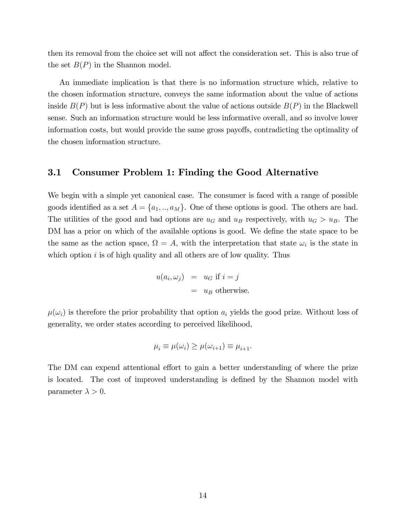then its removal from the choice set will not affect the consideration set. This is also true of the set  $B(P)$  in the Shannon model.

An immediate implication is that there is no information structure which, relative to the chosen information structure, conveys the same information about the value of actions inside  $B(P)$  but is less informative about the value of actions outside  $B(P)$  in the Blackwell sense. Such an information structure would be less informative overall, and so involve lower information costs, but would provide the same gross payoffs, contradicting the optimality of the chosen information structure.

### 3.1 Consumer Problem 1: Finding the Good Alternative

We begin with a simple yet canonical case. The consumer is faced with a range of possible goods identified as a set  $A = \{a_1, ..., a_M\}$ . One of these options is good. The others are bad. The utilities of the good and bad options are  $u_G$  and  $u_B$  respectively, with  $u_G > u_B$ . The DM has a prior on which of the available options is good. We define the state space to be the same as the action space,  $\Omega = A$ , with the interpretation that state  $\omega_i$  is the state in which option  $i$  is of high quality and all others are of low quality. Thus

$$
u(a_i, \omega_j) = u_G \text{ if } i = j
$$
  
=  $u_B$  otherwise.

 $\mu(\omega_i)$  is therefore the prior probability that option  $a_i$  yields the good prize. Without loss of generality, we order states according to perceived likelihood,

$$
\mu_i \equiv \mu(\omega_i) \ge \mu(\omega_{i+1}) \equiv \mu_{i+1}.
$$

The DM can expend attentional effort to gain a better understanding of where the prize is located. The cost of improved understanding is defined by the Shannon model with parameter  $\lambda > 0$ .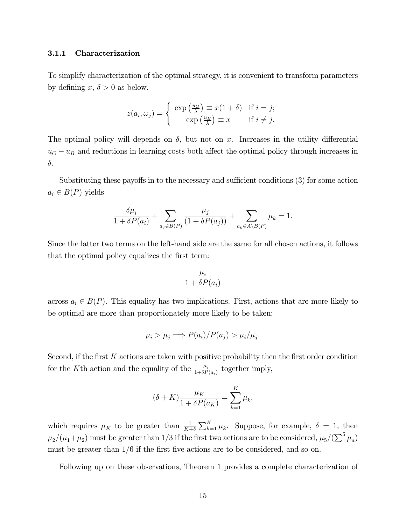#### 3.1.1 Characterization

To simplify characterization of the optimal strategy, it is convenient to transform parameters by defining x,  $\delta > 0$  as below,

$$
z(a_i, \omega_j) = \begin{cases} \exp\left(\frac{u_G}{\lambda}\right) \equiv x(1+\delta) & \text{if } i = j; \\ \exp\left(\frac{u_B}{\lambda}\right) \equiv x & \text{if } i \neq j. \end{cases}
$$

The optimal policy will depends on  $\delta$ , but not on x. Increases in the utility differential  $u_G - u_B$  and reductions in learning costs both affect the optimal policy through increases in  $\delta$ .

Substituting these payoffs in to the necessary and sufficient conditions  $(3)$  for some action  $a_i \in B(P)$  yields

$$
\frac{\delta \mu_i}{1 + \delta P(a_i)} + \sum_{a_j \in B(P)} \frac{\mu_j}{(1 + \delta P(a_j))} + \sum_{a_k \in A \setminus B(P)} \mu_k = 1.
$$

Since the latter two terms on the left-hand side are the same for all chosen actions, it follows that the optimal policy equalizes the first term:

$$
\frac{\mu_i}{1 + \delta P(a_i)}
$$

across  $a_i \in B(P)$ . This equality has two implications. First, actions that are more likely to be optimal are more than proportionately more likely to be taken:

$$
\mu_i > \mu_j \Longrightarrow P(a_i)/P(a_j) > \mu_i/\mu_j.
$$

Second, if the first K actions are taken with positive probability then the first order condition for the K<sup>th</sup> action and the equality of the  $\frac{\mu_i}{1+\delta P(a_i)}$  together imply,

$$
(\delta + K) \frac{\mu_K}{1 + \delta P(a_K)} = \sum_{k=1}^K \mu_k,
$$

which requires  $\mu_K$  to be greater than  $\frac{1}{K+\delta}\sum_{k=1}^K \mu_k$ . Suppose, for example,  $\delta = 1$ , then  $\mu_2/(\mu_1+\mu_2)$  must be greater than 1/3 if the first two actions are to be considered,  $\mu_5/(\sum_1^5 \mu_a)$ must be greater than  $1/6$  if the first five actions are to be considered, and so on.

Following up on these observations, Theorem 1 provides a complete characterization of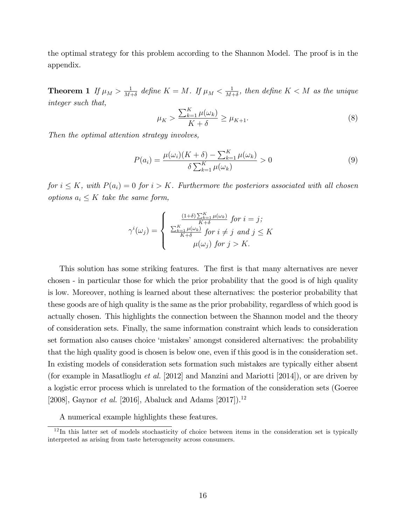the optimal strategy for this problem according to the Shannon Model. The proof is in the appendix.

Theorem 1 If  $\mu_M > \frac{1}{M^2}$  $\frac{1}{M+\delta}$  define  $K=M$ . If  $\mu_M<\frac{1}{M-\delta}$  $\frac{1}{M+\delta}$ , then define  $K < M$  as the unique integer such that,

$$
\mu_K > \frac{\sum_{k=1}^K \mu(\omega_k)}{K + \delta} \ge \mu_{K+1}.\tag{8}
$$

Then the optimal attention strategy involves,

$$
P(a_i) = \frac{\mu(\omega_i)(K+\delta) - \sum_{k=1}^{K} \mu(\omega_k)}{\delta \sum_{k=1}^{K} \mu(\omega_k)} > 0
$$
\n
$$
(9)
$$

for  $i \leq K$ , with  $P(a_i) = 0$  for  $i > K$ . Furthermore the posteriors associated with all chosen options  $a_i \leq K$  take the same form,

$$
\gamma^{i}(\omega_{j}) = \begin{cases} \frac{(1+\delta)\sum_{k=1}^{K} \mu(\omega_{k})}{K+\delta} \text{ for } i = j; \\ \frac{\sum_{k=1}^{K} \mu(\omega_{k})}{K+\delta} \text{ for } i \neq j \text{ and } j \leq K \\ \mu(\omega_{j}) \text{ for } j > K. \end{cases}
$$

This solution has some striking features. The first is that many alternatives are never chosen - in particular those for which the prior probability that the good is of high quality is low. Moreover, nothing is learned about these alternatives: the posterior probability that these goods are of high quality is the same as the prior probability, regardless of which good is actually chosen. This highlights the connection between the Shannon model and the theory of consideration sets. Finally, the same information constraint which leads to consideration set formation also causes choice 'mistakes' amongst considered alternatives: the probability that the high quality good is chosen is below one, even if this good is in the consideration set. In existing models of consideration sets formation such mistakes are typically either absent (for example in Masatlioglu et al. [2012] and Manzini and Mariotti [2014]), or are driven by a logistic error process which is unrelated to the formation of the consideration sets (Goeree [2008], Gaynor et al. [2016], Abaluck and Adams [2017]).<sup>12</sup>

A numerical example highlights these features.

 $12$ In this latter set of models stochasticity of choice between items in the consideration set is typically interpreted as arising from taste heterogeneity across consumers.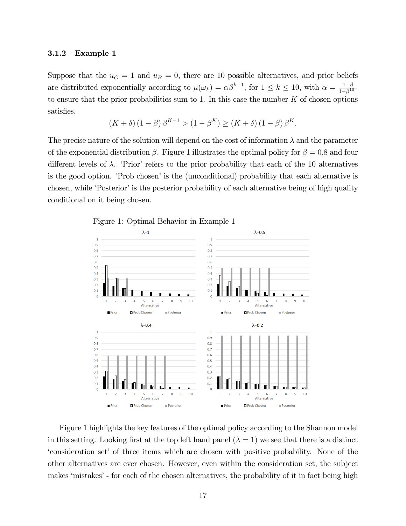#### 3.1.2 Example 1

Suppose that the  $u_G = 1$  and  $u_B = 0$ , there are 10 possible alternatives, and prior beliefs are distributed exponentially according to  $\mu(\omega_k) = \alpha \beta^{k-1}$ , for  $1 \leq k \leq 10$ , with  $\alpha = \frac{1-\beta}{1-\beta^{10}}$  $1-\beta^{10}$ to ensure that the prior probabilities sum to 1. In this case the number  $K$  of chosen options satisfies,

$$
(K+\delta) (1-\beta) \beta^{K-1} > (1-\beta^K) \ge (K+\delta) (1-\beta) \beta^K
$$
.

The precise nature of the solution will depend on the cost of information  $\lambda$  and the parameter of the exponential distribution  $\beta$ . Figure 1 illustrates the optimal policy for  $\beta = 0.8$  and four different levels of  $\lambda$ . 'Prior' refers to the prior probability that each of the 10 alternatives is the good option. 'Prob chosen' is the (unconditional) probability that each alternative is chosen, while 'Posterior' is the posterior probability of each alternative being of high quality conditional on it being chosen.



Figure 1 highlights the key features of the optimal policy according to the Shannon model in this setting. Looking first at the top left hand panel  $(\lambda = 1)$  we see that there is a distinct ëconsideration setíof three items which are chosen with positive probability. None of the other alternatives are ever chosen. However, even within the consideration set, the subject makes 'mistakes' - for each of the chosen alternatives, the probability of it in fact being high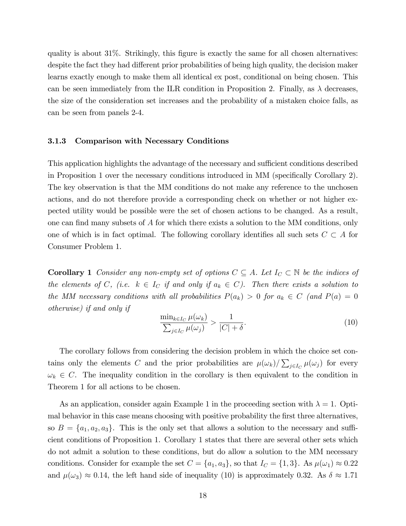quality is about  $31\%$ . Strikingly, this figure is exactly the same for all chosen alternatives: despite the fact they had different prior probabilities of being high quality, the decision maker learns exactly enough to make them all identical ex post, conditional on being chosen. This can be seen immediately from the ILR condition in Proposition 2. Finally, as  $\lambda$  decreases, the size of the consideration set increases and the probability of a mistaken choice falls, as can be seen from panels 2-4.

#### 3.1.3 Comparison with Necessary Conditions

This application highlights the advantage of the necessary and sufficient conditions described in Proposition 1 over the necessary conditions introduced in MM (specifically Corollary 2). The key observation is that the MM conditions do not make any reference to the unchosen actions, and do not therefore provide a corresponding check on whether or not higher expected utility would be possible were the set of chosen actions to be changed. As a result, one can find many subsets of  $A$  for which there exists a solution to the MM conditions, only one of which is in fact optimal. The following corollary identifies all such sets  $C \subset A$  for Consumer Problem 1.

**Corollary 1** Consider any non-empty set of options  $C \subseteq A$ . Let  $I_C \subset \mathbb{N}$  be the indices of the elements of C, (i.e.  $k \in I_C$  if and only if  $a_k \in C$ ). Then there exists a solution to the MM necessary conditions with all probabilities  $P(a_k) > 0$  for  $a_k \in C$  (and  $P(a) = 0$ otherwise) if and only if

$$
\frac{\min_{k \in I_C} \mu(\omega_k)}{\sum_{j \in I_C} \mu(\omega_j)} > \frac{1}{|C| + \delta}.\tag{10}
$$

The corollary follows from considering the decision problem in which the choice set contains only the elements C and the prior probabilities are  $\mu(\omega_k)/\sum_{j\in I_C} \mu(\omega_j)$  for every  $\omega_k \in C$ . The inequality condition in the corollary is then equivalent to the condition in Theorem 1 for all actions to be chosen.

As an application, consider again Example 1 in the proceeding section with  $\lambda = 1$ . Optimal behavior in this case means choosing with positive probability the first three alternatives, so  $B = \{a_1, a_2, a_3\}$ . This is the only set that allows a solution to the necessary and sufficient conditions of Proposition 1. Corollary 1 states that there are several other sets which do not admit a solution to these conditions, but do allow a solution to the MM necessary conditions. Consider for example the set  $C = \{a_1, a_3\}$ , so that  $I_C = \{1, 3\}$ . As  $\mu(\omega_1) \approx 0.22$ and  $\mu(\omega_3) \approx 0.14$ , the left hand side of inequality (10) is approximately 0.32. As  $\delta \approx 1.71$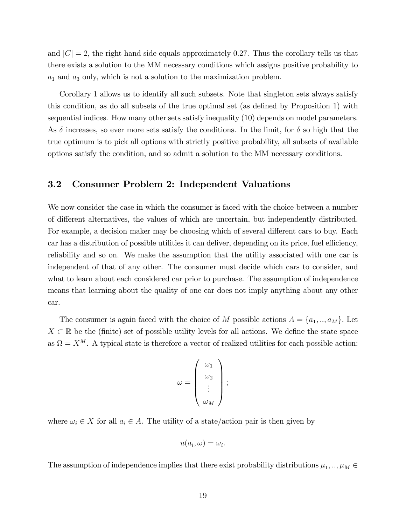and  $|C|=2$ , the right hand side equals approximately 0.27. Thus the corollary tells us that there exists a solution to the MM necessary conditions which assigns positive probability to  $a_1$  and  $a_3$  only, which is not a solution to the maximization problem.

Corollary 1 allows us to identify all such subsets. Note that singleton sets always satisfy this condition, as do all subsets of the true optimal set (as defined by Proposition 1) with sequential indices. How many other sets satisfy inequality (10) depends on model parameters. As  $\delta$  increases, so ever more sets satisfy the conditions. In the limit, for  $\delta$  so high that the true optimum is to pick all options with strictly positive probability, all subsets of available options satisfy the condition, and so admit a solution to the MM necessary conditions.

### 3.2 Consumer Problem 2: Independent Valuations

We now consider the case in which the consumer is faced with the choice between a number of different alternatives, the values of which are uncertain, but independently distributed. For example, a decision maker may be choosing which of several different cars to buy. Each car has a distribution of possible utilities it can deliver, depending on its price, fuel efficiency, reliability and so on. We make the assumption that the utility associated with one car is independent of that of any other. The consumer must decide which cars to consider, and what to learn about each considered car prior to purchase. The assumption of independence means that learning about the quality of one car does not imply anything about any other car.

The consumer is again faced with the choice of M possible actions  $A = \{a_1, \ldots, a_M\}$ . Let  $X \subset \mathbb{R}$  be the (finite) set of possible utility levels for all actions. We define the state space as  $\Omega = X^M$ . A typical state is therefore a vector of realized utilities for each possible action:

$$
\omega = \left(\begin{array}{c} \omega_1 \\ \omega_2 \\ \vdots \\ \omega_M \end{array}\right);
$$

where  $\omega_i \in X$  for all  $a_i \in A$ . The utility of a state/action pair is then given by

$$
u(a_i, \omega) = \omega_i.
$$

The assumption of independence implies that there exist probability distributions  $\mu_1, \ldots, \mu_M \in$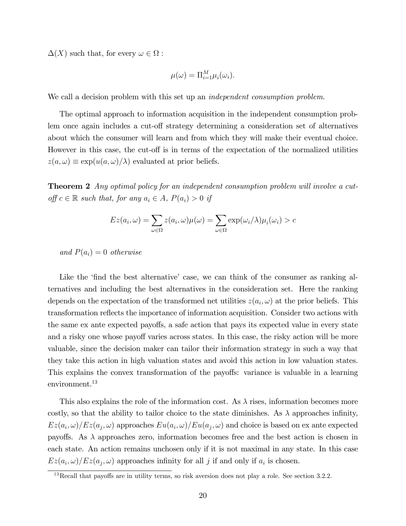$\Delta(X)$  such that, for every  $\omega \in \Omega$ :

$$
\mu(\omega) = \Pi_{i=1}^M \mu_i(\omega_i).
$$

We call a decision problem with this set up an *independent consumption problem*.

The optimal approach to information acquisition in the independent consumption problem once again includes a cut-off strategy determining a consideration set of alternatives about which the consumer will learn and from which they will make their eventual choice. However in this case, the cut-off is in terms of the expectation of the normalized utilities  $z(a,\omega) \equiv \exp(u(a,\omega)/\lambda)$  evaluated at prior beliefs.

**Theorem 2** Any optimal policy for an independent consumption problem will involve a cutoff  $c \in \mathbb{R}$  such that, for any  $a_i \in A$ ,  $P(a_i) > 0$  if

$$
Ez(a_i, \omega) = \sum_{\omega \in \Omega} z(a_i, \omega) \mu(\omega) = \sum_{\omega \in \Omega} \exp(\omega_i/\lambda) \mu_i(\omega_i) > c
$$

and  $P(a_i) = 0$  otherwise

Like the 'find the best alternative' case, we can think of the consumer as ranking alternatives and including the best alternatives in the consideration set. Here the ranking depends on the expectation of the transformed net utilities  $z(a_i, \omega)$  at the prior beliefs. This transformation reflects the importance of information acquisition. Consider two actions with the same ex ante expected payoffs, a safe action that pays its expected value in every state and a risky one whose payoff varies across states. In this case, the risky action will be more valuable, since the decision maker can tailor their information strategy in such a way that they take this action in high valuation states and avoid this action in low valuation states. This explains the convex transformation of the payoffs: variance is valuable in a learning environment.<sup>13</sup>

This also explains the role of the information cost. As  $\lambda$  rises, information becomes more costly, so that the ability to tailor choice to the state diminishes. As  $\lambda$  approaches infinity,  $Ez(a_i, \omega)/Ez(a_j, \omega)$  approaches  $Eu(a_i, \omega)/Eu(a_j, \omega)$  and choice is based on ex ante expected payoffs. As  $\lambda$  approaches zero, information becomes free and the best action is chosen in each state. An action remains unchosen only if it is not maximal in any state. In this case  $Ez(a_i, \omega)/Ez(a_j, \omega)$  approaches infinity for all j if and only if  $a_i$  is chosen.

 $13$ Recall that payoffs are in utility terms, so risk aversion does not play a role. See section 3.2.2.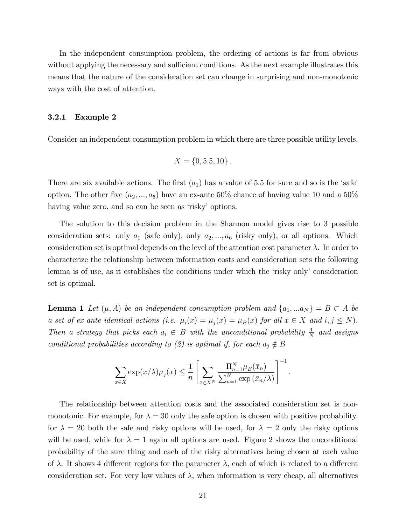In the independent consumption problem, the ordering of actions is far from obvious without applying the necessary and sufficient conditions. As the next example illustrates this means that the nature of the consideration set can change in surprising and non-monotonic ways with the cost of attention.

#### 3.2.1 Example 2

Consider an independent consumption problem in which there are three possible utility levels,

$$
X = \{0, 5.5, 10\}.
$$

There are six available actions. The first  $(a_1)$  has a value of 5.5 for sure and so is the 'safe' option. The other five  $(a_2, ..., a_6)$  have an ex-ante 50% chance of having value 10 and a 50% having value zero, and so can be seen as 'risky' options.

The solution to this decision problem in the Shannon model gives rise to 3 possible consideration sets: only  $a_1$  (safe only), only  $a_2, ..., a_6$  (risky only), or all options. Which consideration set is optimal depends on the level of the attention cost parameter  $\lambda$ . In order to characterize the relationship between information costs and consideration sets the following lemma is of use, as it establishes the conditions under which the 'risky only' consideration set is optimal.

**Lemma 1** Let  $(\mu, A)$  be an independent consumption problem and  $\{a_1, ... a_N\} = B \subset A$  be a set of ex ante identical actions (i.e.  $\mu_i(x) = \mu_j(x) = \mu_B(x)$  for all  $x \in X$  and  $i, j \leq N$ ). Then a strategy that picks each  $a_i \in B$  with the unconditional probability  $\frac{1}{N}$  and assigns conditional probabilities according to (2) is optimal if, for each  $a_j \notin B$ 

$$
\sum_{x \in X} \exp(x/\lambda) \mu_j(x) \leq \frac{1}{n} \left[ \sum_{\bar{x} \in X^N} \frac{\prod_{n=1}^N \mu_B(\bar{x}_n)}{\sum_{n=1}^N \exp(\bar{x}_n/\lambda)} \right]^{-1}.
$$

The relationship between attention costs and the associated consideration set is nonmonotonic. For example, for  $\lambda = 30$  only the safe option is chosen with positive probability, for  $\lambda = 20$  both the safe and risky options will be used, for  $\lambda = 2$  only the risky options will be used, while for  $\lambda = 1$  again all options are used. Figure 2 shows the unconditional probability of the sure thing and each of the risky alternatives being chosen at each value of  $\lambda$ . It shows 4 different regions for the parameter  $\lambda$ , each of which is related to a different consideration set. For very low values of  $\lambda$ , when information is very cheap, all alternatives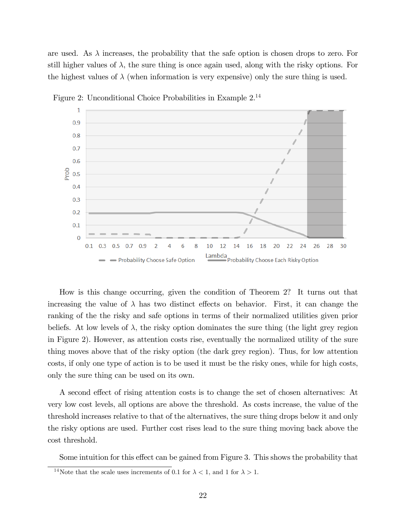are used. As  $\lambda$  increases, the probability that the safe option is chosen drops to zero. For still higher values of  $\lambda$ , the sure thing is once again used, along with the risky options. For the highest values of  $\lambda$  (when information is very expensive) only the sure thing is used.



Figure 2: Unconditional Choice Probabilities in Example 2.<sup>14</sup>

How is this change occurring, given the condition of Theorem 2? It turns out that increasing the value of  $\lambda$  has two distinct effects on behavior. First, it can change the ranking of the the risky and safe options in terms of their normalized utilities given prior beliefs. At low levels of  $\lambda$ , the risky option dominates the sure thing (the light grey region in Figure 2). However, as attention costs rise, eventually the normalized utility of the sure thing moves above that of the risky option (the dark grey region). Thus, for low attention costs, if only one type of action is to be used it must be the risky ones, while for high costs, only the sure thing can be used on its own.

A second effect of rising attention costs is to change the set of chosen alternatives: At very low cost levels, all options are above the threshold. As costs increase, the value of the threshold increases relative to that of the alternatives, the sure thing drops below it and only the risky options are used. Further cost rises lead to the sure thing moving back above the cost threshold.

Some intuition for this effect can be gained from Figure 3. This shows the probability that

<sup>&</sup>lt;sup>14</sup>Note that the scale uses increments of 0.1 for  $\lambda < 1$ , and 1 for  $\lambda > 1$ .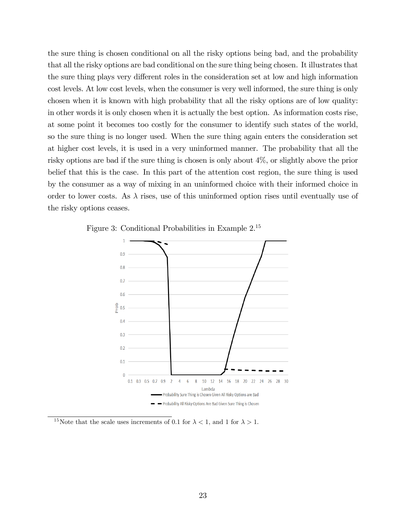the sure thing is chosen conditional on all the risky options being bad, and the probability that all the risky options are bad conditional on the sure thing being chosen. It illustrates that the sure thing plays very different roles in the consideration set at low and high information cost levels. At low cost levels, when the consumer is very well informed, the sure thing is only chosen when it is known with high probability that all the risky options are of low quality: in other words it is only chosen when it is actually the best option. As information costs rise, at some point it becomes too costly for the consumer to identify such states of the world, so the sure thing is no longer used. When the sure thing again enters the consideration set at higher cost levels, it is used in a very uninformed manner. The probability that all the risky options are bad if the sure thing is chosen is only about 4%, or slightly above the prior belief that this is the case. In this part of the attention cost region, the sure thing is used by the consumer as a way of mixing in an uninformed choice with their informed choice in order to lower costs. As  $\lambda$  rises, use of this uninformed option rises until eventually use of the risky options ceases.



Figure 3: Conditional Probabilities in Example 2.<sup>15</sup>

<sup>15</sup>Note that the scale uses increments of 0.1 for  $\lambda < 1$ , and 1 for  $\lambda > 1$ .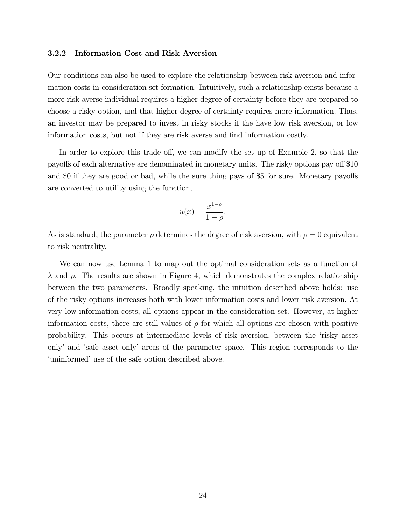#### 3.2.2 Information Cost and Risk Aversion

Our conditions can also be used to explore the relationship between risk aversion and information costs in consideration set formation. Intuitively, such a relationship exists because a more risk-averse individual requires a higher degree of certainty before they are prepared to choose a risky option, and that higher degree of certainty requires more information. Thus, an investor may be prepared to invest in risky stocks if the have low risk aversion, or low information costs, but not if they are risk averse and find information costly.

In order to explore this trade off, we can modify the set up of Example 2, so that the payoffs of each alternative are denominated in monetary units. The risky options pay off \$10 and \$0 if they are good or bad, while the sure thing pays of \$5 for sure. Monetary payoffs are converted to utility using the function,

$$
u(x) = \frac{x^{1-\rho}}{1-\rho}.
$$

As is standard, the parameter  $\rho$  determines the degree of risk aversion, with  $\rho = 0$  equivalent to risk neutrality.

We can now use Lemma 1 to map out the optimal consideration sets as a function of  $\lambda$  and  $\rho$ . The results are shown in Figure 4, which demonstrates the complex relationship between the two parameters. Broadly speaking, the intuition described above holds: use of the risky options increases both with lower information costs and lower risk aversion. At very low information costs, all options appear in the consideration set. However, at higher information costs, there are still values of  $\rho$  for which all options are chosen with positive probability. This occurs at intermediate levels of risk aversion, between the ërisky asset onlyí and ësafe asset onlyí areas of the parameter space. This region corresponds to the 'uninformed' use of the safe option described above.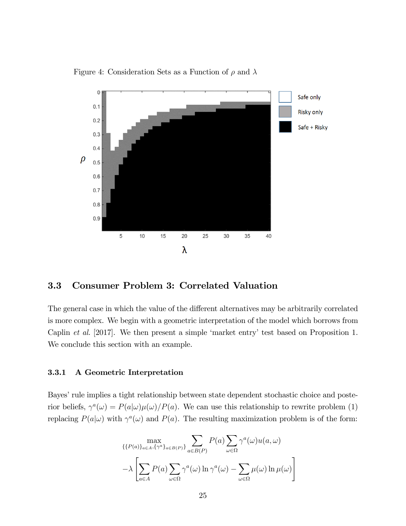

Figure 4: Consideration Sets as a Function of  $\rho$  and  $\lambda$ 

### 3.3 Consumer Problem 3: Correlated Valuation

The general case in which the value of the different alternatives may be arbitrarily correlated is more complex. We begin with a geometric interpretation of the model which borrows from Caplin et al. [2017]. We then present a simple 'market entry' test based on Proposition 1. We conclude this section with an example.

#### 3.3.1 A Geometric Interpretation

Bayes' rule implies a tight relationship between state dependent stochastic choice and posterior beliefs,  $\gamma^a(\omega) = P(a|\omega)\mu(\omega)/P(a)$ . We can use this relationship to rewrite problem (1) replacing  $P(a|\omega)$  with  $\gamma^a(\omega)$  and  $P(a)$ . The resulting maximization problem is of the form:

$$
\max_{\{P(a)\}_{a\in A}, \{\gamma^a\}_{a\in B(P)}\}} \sum_{a\in B(P)} P(a) \sum_{\omega \in \Omega} \gamma^a(\omega) u(a, \omega)
$$

$$
-\lambda \left[ \sum_{a\in A} P(a) \sum_{\omega \in \Omega} \gamma^a(\omega) \ln \gamma^a(\omega) - \sum_{\omega \in \Omega} \mu(\omega) \ln \mu(\omega) \right]
$$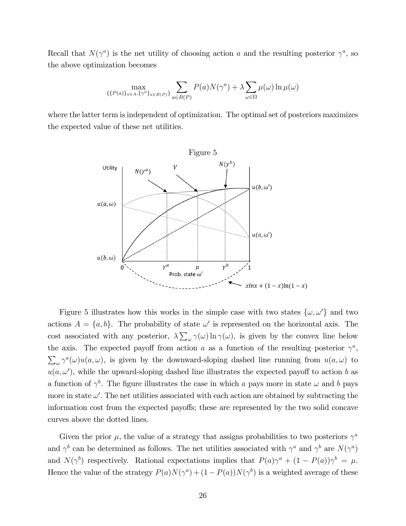Recall that  $N(\gamma^a)$  is the net utility of choosing action a and the resulting posterior  $\gamma^a$ , so the above optimization becomes

$$
\max_{\{\{P(a)\}_{a\in A}, \{\gamma^a\}_{a\in B(P)}\}} \sum_{a\in B(P)} P(a)N(\gamma^a) + \lambda \sum_{\omega \in \Omega} \mu(\omega) \ln \mu(\omega)
$$

where the latter term is independent of optimization. The optimal set of posteriors maximizes the expected value of these net utilities.



Figure 5 illustrates how this works in the simple case with two states  $\{\omega,\omega'\}$  and two actions  $A = \{a, b\}$ . The probability of state  $\omega'$  is represented on the horizontal axis. The cost associated with any posterior,  $\lambda \sum_{\omega} \gamma(\omega) \ln \gamma(\omega)$ , is given by the convex line below the axis. The expected payoff from action a as a function of the resulting posterior  $\gamma^a$ ,  $\sum_{\omega} \gamma^a(\omega) u(a,\omega)$ , is given by the downward-sloping dashed line running from  $u(a,\omega)$  to  $u(a, \omega')$ , while the upward-sloping dashed line illustrates the expected payoff to action b as a function of  $\gamma^b$ . The figure illustrates the case in which a pays more in state  $\omega$  and b pays more in state  $\omega'$ . The net utilities associated with each action are obtained by subtracting the information cost from the expected payoffs; these are represented by the two solid concave curves above the dotted lines.

Given the prior  $\mu$ , the value of a strategy that assigns probabilities to two posteriors  $\gamma^a$ and  $\gamma^b$  can be determined as follows. The net utilities associated with  $\gamma^a$  and  $\gamma^b$  are  $N(\gamma^a)$ and  $N(\gamma^b)$  respectively. Rational expectations implies that  $P(a)\gamma^a + (1 - P(a))\gamma^b = \mu$ . Hence the value of the strategy  $P(a)N(\gamma^a) + (1 - P(a))N(\gamma^b)$  is a weighted average of these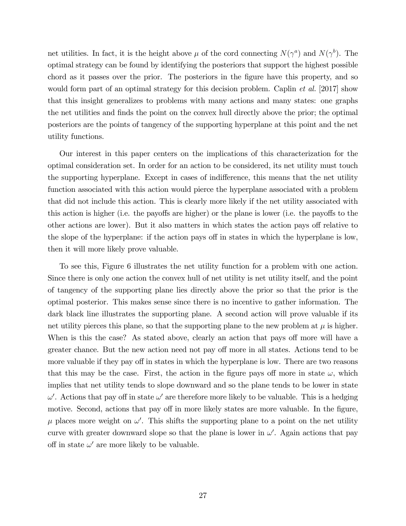net utilities. In fact, it is the height above  $\mu$  of the cord connecting  $N(\gamma^a)$  and  $N(\gamma^b)$ . The optimal strategy can be found by identifying the posteriors that support the highest possible chord as it passes over the prior. The posteriors in the figure have this property, and so would form part of an optimal strategy for this decision problem. Caplin *et al.* [2017] show that this insight generalizes to problems with many actions and many states: one graphs the net utilities and finds the point on the convex hull directly above the prior; the optimal posteriors are the points of tangency of the supporting hyperplane at this point and the net utility functions.

Our interest in this paper centers on the implications of this characterization for the optimal consideration set. In order for an action to be considered, its net utility must touch the supporting hyperplane. Except in cases of indifference, this means that the net utility function associated with this action would pierce the hyperplane associated with a problem that did not include this action. This is clearly more likely if the net utility associated with this action is higher (i.e. the payoffs are higher) or the plane is lower (i.e. the payoffs to the other actions are lower). But it also matters in which states the action pays off relative to the slope of the hyperplane: if the action pays off in states in which the hyperplane is low, then it will more likely prove valuable.

To see this, Figure 6 illustrates the net utility function for a problem with one action. Since there is only one action the convex hull of net utility is net utility itself, and the point of tangency of the supporting plane lies directly above the prior so that the prior is the optimal posterior. This makes sense since there is no incentive to gather information. The dark black line illustrates the supporting plane. A second action will prove valuable if its net utility pierces this plane, so that the supporting plane to the new problem at  $\mu$  is higher. When is this the case? As stated above, clearly an action that pays off more will have a greater chance. But the new action need not pay off more in all states. Actions tend to be more valuable if they pay off in states in which the hyperplane is low. There are two reasons that this may be the case. First, the action in the figure pays off more in state  $\omega$ , which implies that net utility tends to slope downward and so the plane tends to be lower in state  $\omega'$ . Actions that pay off in state  $\omega'$  are therefore more likely to be valuable. This is a hedging motive. Second, actions that pay off in more likely states are more valuable. In the figure,  $\mu$  places more weight on  $\omega'$ . This shifts the supporting plane to a point on the net utility curve with greater downward slope so that the plane is lower in  $\omega'$ . Again actions that pay off in state  $\omega'$  are more likely to be valuable.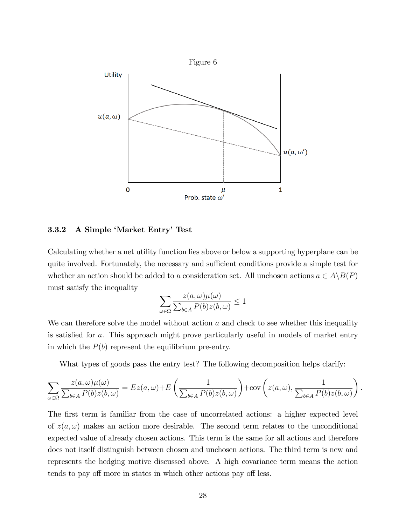

#### 3.3.2 A Simple 'Market Entry' Test

Calculating whether a net utility function lies above or below a supporting hyperplane can be quite involved. Fortunately, the necessary and sufficient conditions provide a simple test for whether an action should be added to a consideration set. All unchosen actions  $a \in A \setminus B(P)$ must satisfy the inequality

$$
\sum_{\omega \in \Omega} \frac{z(a,\omega)\mu(\omega)}{\sum_{b \in A} P(b)z(b,\omega)} \le 1
$$

We can therefore solve the model without action  $a$  and check to see whether this inequality is satisfied for a. This approach might prove particularly useful in models of market entry in which the  $P(b)$  represent the equilibrium pre-entry.

What types of goods pass the entry test? The following decomposition helps clarify:

$$
\sum_{\omega \in \Omega} \frac{z(a,\omega)\mu(\omega)}{\sum_{b \in A} P(b)z(b,\omega)} = Ez(a,\omega) + E\left(\frac{1}{\sum_{b \in A} P(b)z(b,\omega)}\right) + \text{cov}\left(z(a,\omega), \frac{1}{\sum_{b \in A} P(b)z(b,\omega)}\right).
$$

The first term is familiar from the case of uncorrelated actions: a higher expected level of  $z(a,\omega)$  makes an action more desirable. The second term relates to the unconditional expected value of already chosen actions. This term is the same for all actions and therefore does not itself distinguish between chosen and unchosen actions. The third term is new and represents the hedging motive discussed above. A high covariance term means the action tends to pay off more in states in which other actions pay off less.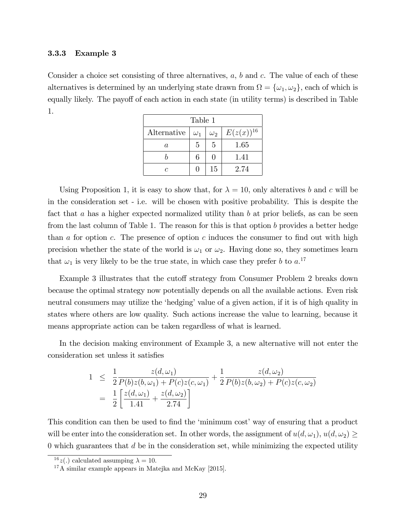#### 3.3.3 Example 3

Consider a choice set consisting of three alternatives,  $a, b$  and  $c$ . The value of each of these alternatives is determined by an underlying state drawn from  $\Omega = {\omega_1, \omega_2}$ , each of which is equally likely. The payoff of each action in each state (in utility terms) is described in Table 1.

| Table 1     |            |            |                |
|-------------|------------|------------|----------------|
| Alternative | $\omega_1$ | $\omega_2$ | $E(z(x))^{16}$ |
| a.          | 5          | 5          | 1.65           |
|             | 6          | 0          | 1.41           |
| r           |            | 15         | 2.74           |

Using Proposition 1, it is easy to show that, for  $\lambda = 10$ , only alteratives b and c will be in the consideration set - i.e. will be chosen with positive probability. This is despite the fact that a has a higher expected normalized utility than b at prior beliefs, as can be seen from the last column of Table 1. The reason for this is that option b provides a better hedge than a for option c. The presence of option c induces the consumer to find out with high precision whether the state of the world is  $\omega_1$  or  $\omega_2$ . Having done so, they sometimes learn that  $\omega_1$  is very likely to be the true state, in which case they prefer b to  $a$ <sup>17</sup>

Example 3 illustrates that the cutoff strategy from Consumer Problem 2 breaks down because the optimal strategy now potentially depends on all the available actions. Even risk neutral consumers may utilize the 'hedging' value of a given action, if it is of high quality in states where others are low quality. Such actions increase the value to learning, because it means appropriate action can be taken regardless of what is learned.

In the decision making environment of Example 3, a new alternative will not enter the consideration set unless it satisfies

$$
1 \leq \frac{1}{2} \frac{z(d,\omega_1)}{P(b)z(b,\omega_1) + P(c)z(c,\omega_1)} + \frac{1}{2} \frac{z(d,\omega_2)}{P(b)z(b,\omega_2) + P(c)z(c,\omega_2)}
$$
  
= 
$$
\frac{1}{2} \left[ \frac{z(d,\omega_1)}{1.41} + \frac{z(d,\omega_2)}{2.74} \right]
$$

This condition can then be used to find the 'minimum cost' way of ensuring that a product will be enter into the consideration set. In other words, the assignment of  $u(d, \omega_1), u(d, \omega_2) \ge$  $0$  which guarantees that  $d$  be in the consideration set, while minimizing the expected utility

<sup>&</sup>lt;sup>16</sup> z(.) calculated assumping  $\lambda = 10$ .

 $17A$  similar example appears in Matejka and McKay [2015].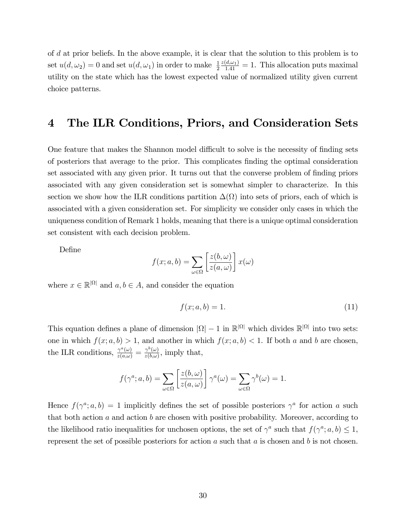of d at prior beliefs. In the above example, it is clear that the solution to this problem is to set  $u(d, \omega_2) = 0$  and set  $u(d, \omega_1)$  in order to make  $\frac{1}{2}$  $\frac{z(d,\omega_1)}{1.41} = 1$ . This allocation puts maximal utility on the state which has the lowest expected value of normalized utility given current choice patterns.

# 4 The ILR Conditions, Priors, and Consideration Sets

One feature that makes the Shannon model difficult to solve is the necessity of finding sets of posteriors that average to the prior. This complicates Önding the optimal consideration set associated with any given prior. It turns out that the converse problem of finding priors associated with any given consideration set is somewhat simpler to characterize. In this section we show how the ILR conditions partition  $\Delta(\Omega)$  into sets of priors, each of which is associated with a given consideration set. For simplicity we consider only cases in which the uniqueness condition of Remark 1 holds, meaning that there is a unique optimal consideration set consistent with each decision problem.

DeÖne

$$
f(x;a,b) = \sum_{\omega \in \Omega} \left[ \frac{z(b,\omega)}{z(a,\omega)} \right] x(\omega)
$$

where  $x \in \mathbb{R}^{|\Omega|}$  and  $a, b \in A$ , and consider the equation

$$
f(x;a,b) = 1.\t(11)
$$

This equation defines a plane of dimension  $|\Omega| - 1$  in  $\mathbb{R}^{|\Omega|}$  which divides  $\mathbb{R}^{|\Omega|}$  into two sets: one in which  $f(x; a, b) > 1$ , and another in which  $f(x; a, b) < 1$ . If both a and b are chosen, the ILR conditions,  $\frac{\gamma^a(\omega)}{z(a,\omega)} = \frac{\gamma^b(\omega)}{z(b,\omega)}$  $\frac{\gamma^{\circ}(\omega)}{z(b,\omega)}$ , imply that,

$$
f(\gamma^a; a, b) = \sum_{\omega \in \Omega} \left[ \frac{z(b, \omega)}{z(a, \omega)} \right] \gamma^a(\omega) = \sum_{\omega \in \Omega} \gamma^b(\omega) = 1.
$$

Hence  $f(\gamma^a; a, b) = 1$  implicitly defines the set of possible posteriors  $\gamma^a$  for action a such that both action  $a$  and action  $b$  are chosen with positive probability. Moreover, according to the likelihood ratio inequalities for unchosen options, the set of  $\gamma^a$  such that  $f(\gamma^a; a, b) \leq 1$ , represent the set of possible posteriors for action  $a$  such that  $a$  is chosen and  $b$  is not chosen.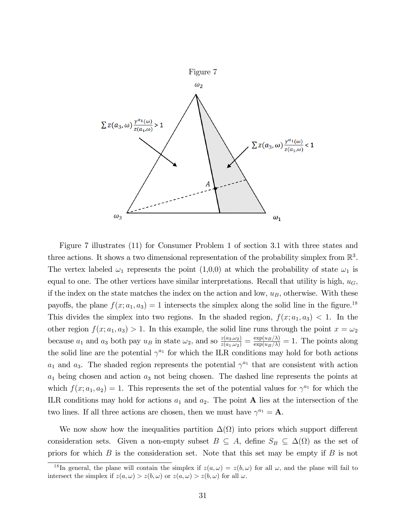

Figure 7 illustrates (11) for Consumer Problem 1 of section 3.1 with three states and three actions. It shows a two dimensional representation of the probability simplex from  $\mathbb{R}^3$ . The vertex labeled  $\omega_1$  represents the point  $(1,0,0)$  at which the probability of state  $\omega_1$  is equal to one. The other vertices have similar interpretations. Recall that utility is high,  $u_G$ , if the index on the state matches the index on the action and low,  $u_B$ , otherwise. With these payoffs, the plane  $f(x; a_1, a_3) = 1$  intersects the simplex along the solid line in the figure.<sup>18</sup> This divides the simplex into two regions. In the shaded region,  $f(x; a_1, a_3) < 1$ . In the other region  $f(x; a_1, a_3) > 1$ . In this example, the solid line runs through the point  $x = \omega_2$ because  $a_1$  and  $a_3$  both pay  $u_B$  in state  $\omega_2$ , and so  $\frac{z(a_3,\omega_2)}{z(a_1,\omega_2)} = \frac{\exp(u_B/\lambda)}{\exp(u_B/\lambda)} = 1$ . The points along the solid line are the potential  $\gamma^{a_1}$  for which the ILR conditions may hold for both actions  $a_1$  and  $a_3$ . The shaded region represents the potential  $\gamma^{a_1}$  that are consistent with action  $a_1$  being chosen and action  $a_3$  not being chosen. The dashed line represents the points at which  $f(x; a_1, a_2) = 1$ . This represents the set of the potential values for  $\gamma^{a_1}$  for which the ILR conditions may hold for actions  $a_1$  and  $a_2$ . The point **A** lies at the intersection of the two lines. If all three actions are chosen, then we must have  $\gamma^{a_1} = \mathbf{A}$ .

We now show how the inequalities partition  $\Delta(\Omega)$  into priors which support different consideration sets. Given a non-empty subset  $B \subseteq A$ , define  $S_B \subseteq \Delta(\Omega)$  as the set of priors for which  $B$  is the consideration set. Note that this set may be empty if  $B$  is not

<sup>&</sup>lt;sup>18</sup>In general, the plane will contain the simplex if  $z(a, \omega) = z(b, \omega)$  for all  $\omega$ , and the plane will fail to intersect the simplex if  $z(a, \omega) > z(b, \omega)$  or  $z(a, \omega) > z(b, \omega)$  for all  $\omega$ .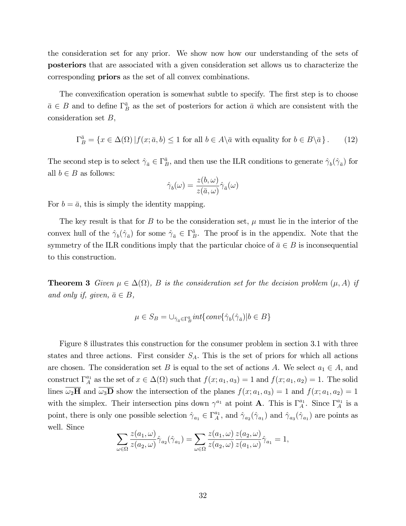the consideration set for any prior. We show now how our understanding of the sets of posteriors that are associated with a given consideration set allows us to characterize the corresponding priors as the set of all convex combinations.

The convexification operation is somewhat subtle to specify. The first step is to choose  $\bar{a} \in B$  and to define  $\Gamma_B^{\bar{a}}$  as the set of posteriors for action  $\bar{a}$  which are consistent with the consideration set B,

$$
\Gamma_B^{\bar{a}} = \{ x \in \Delta(\Omega) \, | \, f(x; \bar{a}, b) \le 1 \text{ for all } b \in A \setminus \bar{a} \text{ with equality for } b \in B \setminus \bar{a} \}. \tag{12}
$$

The second step is to select  $\hat{\gamma}_{\bar{a}} \in \Gamma_B^{\bar{a}}$ , and then use the ILR conditions to generate  $\hat{\gamma}_b(\hat{\gamma}_{\bar{a}})$  for all  $b \in B$  as follows:

$$
\hat{\gamma}_b(\omega)=\frac{z(b,\omega)}{z(\bar{a},\omega)}\hat{\gamma}_{\bar{a}}(\omega)
$$

For  $b = \bar{a}$ , this is simply the identity mapping.

The key result is that for B to be the consideration set,  $\mu$  must lie in the interior of the convex hull of the  $\hat{\gamma}_{b}(\hat{\gamma}_{\bar{a}})$  for some  $\hat{\gamma}_{\bar{a}} \in \Gamma_B^{\bar{a}}$ . The proof is in the appendix. Note that the symmetry of the ILR conditions imply that the particular choice of  $\bar{a} \in B$  is inconsequential to this construction.

**Theorem 3** Given  $\mu \in \Delta(\Omega)$ , B is the consideration set for the decision problem  $(\mu, A)$  if and only if, given,  $\bar{a} \in B$ ,

$$
\mu \in S_B = \cup_{\hat{\gamma}_{\bar{a}} \in \Gamma_B^{\bar{a}}} int \{ conv\{\hat{\gamma}_b(\hat{\gamma}_{\bar{a}}) | b \in B\}
$$

Figure 8 illustrates this construction for the consumer problem in section 3.1 with three states and three actions. First consider  $S_A$ . This is the set of priors for which all actions are chosen. The consideration set B is equal to the set of actions A. We select  $a_1 \in A$ , and construct  $\Gamma_A^{a_1}$  as the set of  $x \in \Delta(\Omega)$  such that  $f(x; a_1, a_3) = 1$  and  $f(x; a_1, a_2) = 1$ . The solid lines  $\omega_2$ **H** and  $\omega_3$ **D** show the intersection of the planes  $f(x; a_1, a_3) = 1$  and  $f(x; a_1, a_2) = 1$ with the simplex. Their intersection pins down  $\gamma^{a_1}$  at point **A**. This is  $\Gamma_A^{a_1}$ . Since  $\Gamma_A^{a_1}$  is a point, there is only one possible selection  $\hat{\gamma}_{a_1} \in \Gamma_A^{a_1}$ , and  $\hat{\gamma}_{a_2}(\hat{\gamma}_{a_1})$  and  $\hat{\gamma}_{a_3}(\hat{\gamma}_{a_1})$  are points as well. Since

$$
\sum_{\omega \in \Omega} \frac{z(a_1, \omega)}{z(a_2, \omega)} \hat{\gamma}_{a_2}(\hat{\gamma}_{a_1}) = \sum_{\omega \in \Omega} \frac{z(a_1, \omega)}{z(a_2, \omega)} \frac{z(a_2, \omega)}{z(a_1, \omega)} \hat{\gamma}_{a_1} = 1,
$$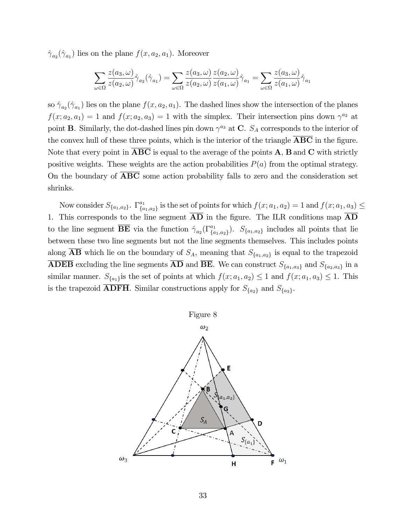$\hat{\gamma}_{a_2}(\hat{\gamma}_{a_1})$  lies on the plane  $f(x, a_2, a_1)$ . Moreover

$$
\sum_{\omega \in \Omega} \frac{z(a_3, \omega)}{z(a_2, \omega)} \hat{\gamma}_{a_2}(\hat{\gamma}_{a_1}) = \sum_{\omega \in \Omega} \frac{z(a_3, \omega)}{z(a_2, \omega)} \frac{z(a_2, \omega)}{z(a_1, \omega)} \hat{\gamma}_{a_1} = \sum_{\omega \in \Omega} \frac{z(a_3, \omega)}{z(a_1, \omega)} \hat{\gamma}_{a_1}
$$

so  $\hat{\gamma}_{a_2}(\hat{\gamma}_{a_1})$  lies on the plane  $f(x, a_2, a_1)$ . The dashed lines show the intersection of the planes  $f(x; a_2, a_1) = 1$  and  $f(x; a_2, a_3) = 1$  with the simplex. Their intersection pins down  $\gamma^{a_2}$  at point **B**. Similarly, the dot-dashed lines pin down  $\gamma^{a_3}$  at **C**.  $S_A$  corresponds to the interior of the convex hull of these three points, which is the interior of the triangle **ABC** in the figure. Note that every point in  $ABC$  is equal to the average of the points  $A$ ,  $B$  and  $C$  with strictly positive weights. These weights are the action probabilities  $P(a)$  from the optimal strategy. On the boundary of  $\overline{ABC}$  some action probability falls to zero and the consideration set shrinks.

Now consider  $S_{\{a_1,a_2\}}$ .  $\Gamma_{\{a_1,a_2\}}^{a_1}$  $f_{\{a_1,a_2\}}$  is the set of points for which  $f(x; a_1, a_2) = 1$  and  $f(x; a_1, a_3) \le$ 1. This corresponds to the line segment  $\overline{AD}$  in the figure. The ILR conditions map  $\overline{AD}$ to the line segment  $\overline{BE}$  via the function  $\hat{\gamma}_{a_2}(\Gamma_{\{a_1,a_2\}}^{a_1})$ .  $S_{\{a_1,a_2\}}$  includes all points that lie between these two line segments but not the line segments themselves. This includes points along **AB** which lie on the boundary of  $S_A$ , meaning that  $S_{\{a_1, a_2\}}$  is equal to the trapezoid **ADEB** excluding the line segments  $\overline{AD}$  and  $\overline{BE}$ . We can construct  $S_{\{a_1, a_3\}}$  and  $S_{\{a_2, a_3\}}$  in a similar manner.  $S_{\{a_1\}}$  is the set of points at which  $f(x; a_1, a_2) \leq 1$  and  $f(x; a_1, a_3) \leq 1$ . This is the trapezoid  $\overline{\text{ADFH}}$ . Similar constructions apply for  $S_{\{a_2\}}$  and  $S_{\{a_3\}}$ .

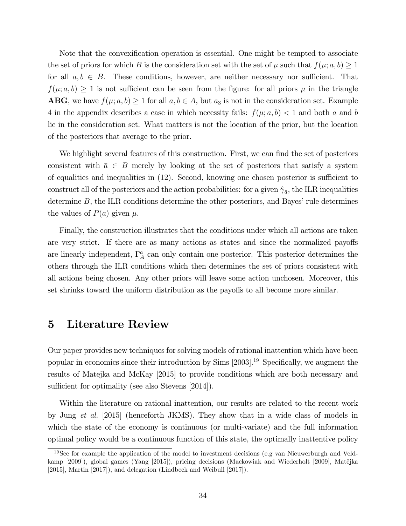Note that the convexification operation is essential. One might be tempted to associate the set of priors for which B is the consideration set with the set of  $\mu$  such that  $f(\mu; a, b) \geq 1$ for all  $a, b \in B$ . These conditions, however, are neither necessary nor sufficient. That  $f(\mu; a, b) \geq 1$  is not sufficient can be seen from the figure: for all priors  $\mu$  in the triangle  $\overline{\text{ABG}}$ , we have  $f(\mu; a, b) \ge 1$  for all  $a, b \in A$ , but  $a_3$  is not in the consideration set. Example 4 in the appendix describes a case in which necessity fails:  $f(\mu; a, b) < 1$  and both a and b lie in the consideration set. What matters is not the location of the prior, but the location of the posteriors that average to the prior.

We highlight several features of this construction. First, we can find the set of posteriors consistent with  $\bar{a} \in B$  merely by looking at the set of posteriors that satisfy a system of equalities and inequalities in  $(12)$ . Second, knowing one chosen posterior is sufficient to construct all of the posteriors and the action probabilities: for a given  $\hat{\gamma}_{\bar{a}}$ , the ILR inequalities determine  $B$ , the ILR conditions determine the other posteriors, and Bayes' rule determines the values of  $P(a)$  given  $\mu$ .

Finally, the construction illustrates that the conditions under which all actions are taken are very strict. If there are as many actions as states and since the normalized payoffs are linearly independent,  $\Gamma_A^a$  can only contain one posterior. This posterior determines the others through the ILR conditions which then determines the set of priors consistent with all actions being chosen. Any other priors will leave some action unchosen. Moreover, this set shrinks toward the uniform distribution as the payoffs to all become more similar.

# 5 Literature Review

Our paper provides new techniques for solving models of rational inattention which have been popular in economics since their introduction by  $Sims [2003].^{19}$  Specifically, we augment the results of Matejka and McKay [2015] to provide conditions which are both necessary and sufficient for optimality (see also Stevens [2014]).

Within the literature on rational inattention, our results are related to the recent work by Jung et al. [2015] (henceforth JKMS). They show that in a wide class of models in which the state of the economy is continuous (or multi-variate) and the full information optimal policy would be a continuous function of this state, the optimally inattentive policy

<sup>19</sup>See for example the application of the model to investment decisions (e.g van Nieuwerburgh and Veldkamp [2009]), global games (Yang [2015]), pricing decisions (Mackowiak and Wiederholt [2009], Matějka [2015], Martin [2017]), and delegation (Lindbeck and Weibull [2017]).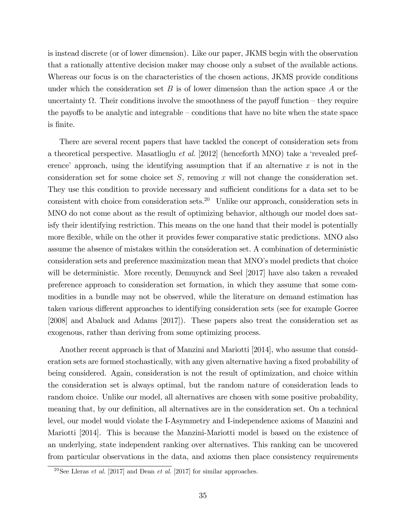is instead discrete (or of lower dimension). Like our paper, JKMS begin with the observation that a rationally attentive decision maker may choose only a subset of the available actions. Whereas our focus is on the characteristics of the chosen actions, JKMS provide conditions under which the consideration set  $B$  is of lower dimension than the action space  $A$  or the uncertainty  $\Omega$ . Their conditions involve the smoothness of the payoff function – they require the payoffs to be analytic and integrable  $-$  conditions that have no bite when the state space is Önite.

There are several recent papers that have tackled the concept of consideration sets from a theoretical perspective. Masatlioglu *et al.* [2012] (henceforth MNO) take a 'revealed preference' approach, using the identifying assumption that if an alternative  $x$  is not in the consideration set for some choice set  $S$ , removing x will not change the consideration set. They use this condition to provide necessary and sufficient conditions for a data set to be consistent with choice from consideration sets.<sup>20</sup> Unlike our approach, consideration sets in MNO do not come about as the result of optimizing behavior, although our model does satisfy their identifying restriction. This means on the one hand that their model is potentially more flexible, while on the other it provides fewer comparative static predictions. MNO also assume the absence of mistakes within the consideration set. A combination of deterministic consideration sets and preference maximization mean that MNO's model predicts that choice will be deterministic. More recently, Demuynck and Seel [2017] have also taken a revealed preference approach to consideration set formation, in which they assume that some commodities in a bundle may not be observed, while the literature on demand estimation has taken various different approaches to identifying consideration sets (see for example Goeree [2008] and Abaluck and Adams [2017]). These papers also treat the consideration set as exogenous, rather than deriving from some optimizing process.

Another recent approach is that of Manzini and Mariotti [2014], who assume that consideration sets are formed stochastically, with any given alternative having a fixed probability of being considered. Again, consideration is not the result of optimization, and choice within the consideration set is always optimal, but the random nature of consideration leads to random choice. Unlike our model, all alternatives are chosen with some positive probability, meaning that, by our definition, all alternatives are in the consideration set. On a technical level, our model would violate the I-Asymmetry and I-independence axioms of Manzini and Mariotti [2014]. This is because the Manzini-Mariotti model is based on the existence of an underlying, state independent ranking over alternatives. This ranking can be uncovered from particular observations in the data, and axioms then place consistency requirements

<sup>&</sup>lt;sup>20</sup>See Lleras *et al.* [2017] and Dean *et al.* [2017] for similar approaches.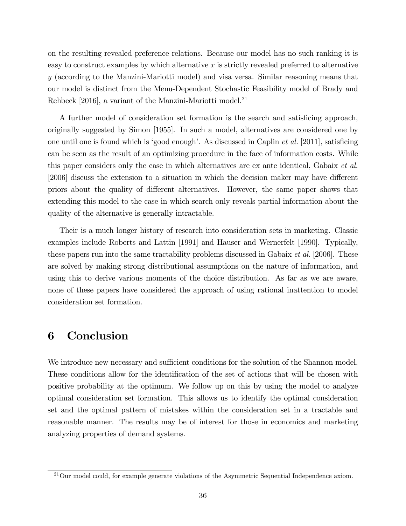on the resulting revealed preference relations. Because our model has no such ranking it is easy to construct examples by which alternative  $x$  is strictly revealed preferred to alternative y (according to the Manzini-Mariotti model) and visa versa. Similar reasoning means that our model is distinct from the Menu-Dependent Stochastic Feasibility model of Brady and Rehbeck [2016], a variant of the Manzini-Mariotti model.<sup>21</sup>

A further model of consideration set formation is the search and satisficing approach, originally suggested by Simon [1955]. In such a model, alternatives are considered one by one until one is found which is 'good enough'. As discussed in Caplin *et al.* [2011], satisficing can be seen as the result of an optimizing procedure in the face of information costs. While this paper considers only the case in which alternatives are ex ante identical, Gabaix et al. [2006] discuss the extension to a situation in which the decision maker may have different priors about the quality of different alternatives. However, the same paper shows that extending this model to the case in which search only reveals partial information about the quality of the alternative is generally intractable.

Their is a much longer history of research into consideration sets in marketing. Classic examples include Roberts and Lattin [1991] and Hauser and Wernerfelt [1990]. Typically, these papers run into the same tractability problems discussed in Gabaix *et al.* [2006]. These are solved by making strong distributional assumptions on the nature of information, and using this to derive various moments of the choice distribution. As far as we are aware, none of these papers have considered the approach of using rational inattention to model consideration set formation.

### 6 Conclusion

We introduce new necessary and sufficient conditions for the solution of the Shannon model. These conditions allow for the identification of the set of actions that will be chosen with positive probability at the optimum. We follow up on this by using the model to analyze optimal consideration set formation. This allows us to identify the optimal consideration set and the optimal pattern of mistakes within the consideration set in a tractable and reasonable manner. The results may be of interest for those in economics and marketing analyzing properties of demand systems.

 $^{21}$ Our model could, for example generate violations of the Asymmetric Sequential Independence axiom.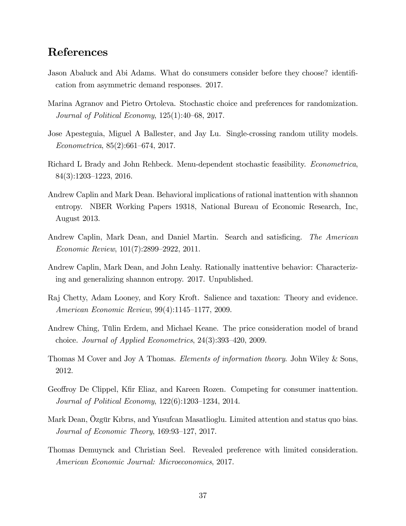# References

- Jason Abaluck and Abi Adams. What do consumers consider before they choose? identification from asymmetric demand responses. 2017.
- Marina Agranov and Pietro Ortoleva. Stochastic choice and preferences for randomization. Journal of Political Economy,  $125(1):40-68$ , 2017.
- Jose Apesteguia, Miguel A Ballester, and Jay Lu. Single-crossing random utility models.  $Econometrica, 85(2):661–674, 2017.$
- Richard L Brady and John Rehbeck. Menu-dependent stochastic feasibility. Econometrica,  $84(3):1203-1223$ , 2016.
- Andrew Caplin and Mark Dean. Behavioral implications of rational inattention with shannon entropy. NBER Working Papers 19318, National Bureau of Economic Research, Inc, August 2013.
- Andrew Caplin, Mark Dean, and Daniel Martin. Search and satisficing. The American Economic Review,  $101(7):2899-2922$ , 2011.
- Andrew Caplin, Mark Dean, and John Leahy. Rationally inattentive behavior: Characterizing and generalizing shannon entropy. 2017. Unpublished.
- Raj Chetty, Adam Looney, and Kory Kroft. Salience and taxation: Theory and evidence. American Economic Review,  $99(4):1145-1177, 2009$ .
- Andrew Ching, Tülin Erdem, and Michael Keane. The price consideration model of brand choice. Journal of Applied Econometrics,  $24(3):393-420$ , 2009.
- Thomas M Cover and Joy A Thomas. Elements of information theory. John Wiley & Sons, 2012.
- Geoffroy De Clippel, Kfir Eliaz, and Kareen Rozen. Competing for consumer inattention. *Journal of Political Economy*,  $122(6):1203-1234$ ,  $2014$ .
- Mark Dean, Özgür Kıbrıs, and Yusufcan Masatlioglu. Limited attention and status quo bias. Journal of Economic Theory,  $169:93-127$ ,  $2017$ .
- Thomas Demuynck and Christian Seel. Revealed preference with limited consideration. American Economic Journal: Microeconomics, 2017.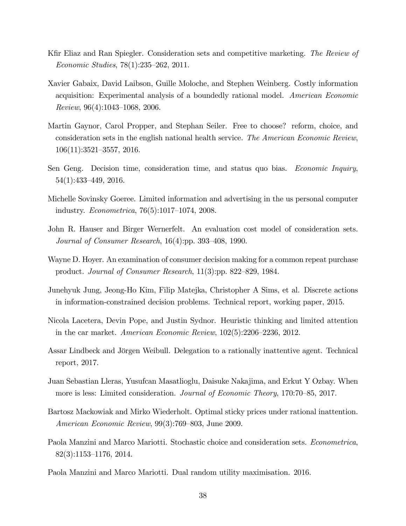- Kfir Eliaz and Ran Spiegler. Consideration sets and competitive marketing. The Review of Economic Studies,  $78(1):235-262$ , 2011.
- Xavier Gabaix, David Laibson, Guille Moloche, and Stephen Weinberg. Costly information acquisition: Experimental analysis of a boundedly rational model. American Economic  $Review, 96(4):1043–1068, 2006.$
- Martin Gaynor, Carol Propper, and Stephan Seiler. Free to choose? reform, choice, and consideration sets in the english national health service. The American Economic Review,  $106(11):3521-3557, 2016.$
- Sen Geng. Decision time, consideration time, and status quo bias. Economic Inquiry,  $54(1):433-449, 2016.$
- Michelle Sovinsky Goeree. Limited information and advertising in the us personal computer industry. *Econometrica*,  $76(5):1017-1074$ , 2008.
- John R. Hauser and Birger Wernerfelt. An evaluation cost model of consideration sets. Journal of Consumer Research,  $16(4)$ :pp. 393–408, 1990.
- Wayne D. Hoyer. An examination of consumer decision making for a common repeat purchase product. Journal of Consumer Research,  $11(3)$ :pp. 822–829, 1984.
- Junehyuk Jung, Jeong-Ho Kim, Filip Matejka, Christopher A Sims, et al. Discrete actions in information-constrained decision problems. Technical report, working paper, 2015.
- Nicola Lacetera, Devin Pope, and Justin Sydnor. Heuristic thinking and limited attention in the car market. American Economic Review,  $102(5):2206-2236$ , 2012.
- Assar Lindbeck and Jörgen Weibull. Delegation to a rationally inattentive agent. Technical report, 2017.
- Juan Sebastian Lleras, Yusufcan Masatlioglu, Daisuke Nakajima, and Erkut Y Ozbay. When more is less: Limited consideration. *Journal of Economic Theory*, 170:70–85, 2017.
- Bartosz Mackowiak and Mirko Wiederholt. Optimal sticky prices under rational inattention. American Economic Review,  $99(3)$ :769–803, June 2009.
- Paola Manzini and Marco Mariotti. Stochastic choice and consideration sets. Econometrica,  $82(3):1153-1176, 2014.$
- Paola Manzini and Marco Mariotti. Dual random utility maximisation. 2016.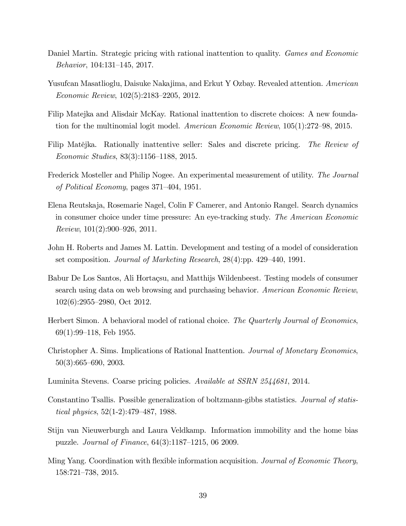- Daniel Martin. Strategic pricing with rational inattention to quality. *Games and Economic* Behavior, 104:131-145, 2017.
- Yusufcan Masatlioglu, Daisuke Nakajima, and Erkut Y Ozbay. Revealed attention. American Economic Review,  $102(5):2183-2205$ , 2012.
- Filip Matejka and Alisdair McKay. Rational inattention to discrete choices: A new foundation for the multinomial logit model. American Economic Review,  $105(1):272-98$ , 2015.
- Filip Matějka. Rationally inattentive seller: Sales and discrete pricing. The Review of Economic Studies,  $83(3):1156-1188$ , 2015.
- Frederick Mosteller and Philip Nogee. An experimental measurement of utility. The Journal of Political Economy, pages  $371-404$ , 1951.
- Elena Reutskaja, Rosemarie Nagel, Colin F Camerer, and Antonio Rangel. Search dynamics in consumer choice under time pressure: An eye-tracking study. The American Economic Review,  $101(2):900-926$ , 2011.
- John H. Roberts and James M. Lattin. Development and testing of a model of consideration set composition. Journal of Marketing Research,  $28(4)$ :pp. 429–440, 1991.
- Babur De Los Santos, Ali Hortaçsu, and Matthijs Wildenbeest. Testing models of consumer search using data on web browsing and purchasing behavior. American Economic Review,  $102(6):2955-2980$ , Oct 2012.
- Herbert Simon. A behavioral model of rational choice. The Quarterly Journal of Economics,  $69(1):99-118$ , Feb 1955.
- Christopher A. Sims. Implications of Rational Inattention. Journal of Monetary Economics,  $50(3):665-690, 2003.$
- Luminita Stevens. Coarse pricing policies. Available at SSRN 2544681, 2014.
- Constantino Tsallis. Possible generalization of boltzmann-gibbs statistics. Journal of statistical physics,  $52(1-2)$ :479–487, 1988.
- Stijn van Nieuwerburgh and Laura Veldkamp. Information immobility and the home bias puzzle. *Journal of Finance*,  $64(3):1187-1215$ , 06 2009.
- Ming Yang. Coordination with flexible information acquisition. *Journal of Economic Theory*,  $158:721-738$ , 2015.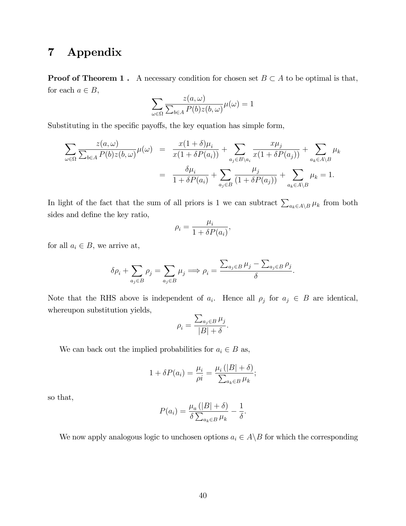# 7 Appendix

**Proof of Theorem 1.** A necessary condition for chosen set  $B \subset A$  to be optimal is that, for each  $a \in B$ ,  $\lambda$ 

$$
\sum_{\omega \in \Omega} \frac{z(a,\omega)}{\sum_{b \in A} P(b)z(b,\omega)} \mu(\omega) = 1
$$

Substituting in the specific payoffs, the key equation has simple form,

$$
\sum_{\omega \in \Omega} \frac{z(a,\omega)}{\sum_{b \in A} P(b)z(b,\omega)} \mu(\omega) = \frac{x(1+\delta)\mu_i}{x(1+\delta P(a_i))} + \sum_{a_j \in B \setminus a_i} \frac{x\mu_j}{x(1+\delta P(a_j))} + \sum_{a_k \in A \setminus B} \mu_k
$$

$$
= \frac{\delta \mu_i}{1+\delta P(a_i)} + \sum_{a_j \in B} \frac{\mu_j}{(1+\delta P(a_j))} + \sum_{a_k \in A \setminus B} \mu_k = 1.
$$

In light of the fact that the sum of all priors is 1 we can subtract  $\sum_{a_k\in A\setminus B}\mu_k$  from both sides and define the key ratio,

$$
\rho_i = \frac{\mu_i}{1 + \delta P(a_i)},
$$

for all  $a_i \in B$ , we arrive at,

$$
\delta \rho_i + \sum_{a_j \in B} \rho_j = \sum_{a_j \in B} \mu_j \Longrightarrow \rho_i = \frac{\sum_{a_j \in B} \mu_j - \sum_{a_j \in B} \rho_j}{\delta}.
$$

Note that the RHS above is independent of  $a_i$ . Hence all  $\rho_j$  for  $a_j \in B$  are identical, whereupon substitution yields,

$$
\rho_i = \frac{\sum_{a_j \in B} \mu_j}{|B| + \delta}.
$$

We can back out the implied probabilities for  $a_i \in B$  as,

$$
1 + \delta P(a_i) = \frac{\mu_i}{\rho i} = \frac{\mu_i (|B| + \delta)}{\sum_{a_k \in B} \mu_k};
$$

so that,

$$
P(a_i) = \frac{\mu_a (|B| + \delta)}{\delta \sum_{a_k \in B} \mu_k} - \frac{1}{\delta}.
$$

We now apply analogous logic to unchosen options  $a_i \in A \backslash B$  for which the corresponding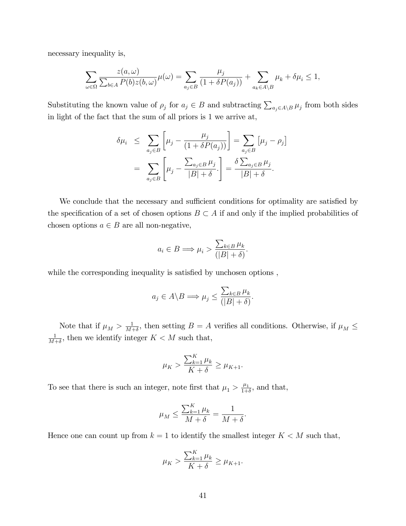necessary inequality is,

$$
\sum_{\omega \in \Omega} \frac{z(a,\omega)}{\sum_{b \in A} P(b)z(b,\omega)} \mu(\omega) = \sum_{a_j \in B} \frac{\mu_j}{(1 + \delta P(a_j))} + \sum_{a_k \in A \setminus B} \mu_k + \delta \mu_i \le 1,
$$

Substituting the known value of  $\rho_j$  for  $a_j \in B$  and subtracting  $\sum_{a_j \in A \setminus B} \mu_j$  from both sides in light of the fact that the sum of all priors is 1 we arrive at,

$$
\delta \mu_i \leq \sum_{a_j \in B} \left[ \mu_j - \frac{\mu_j}{(1 + \delta P(a_j))} \right] = \sum_{a_j \in B} \left[ \mu_j - \rho_j \right]
$$

$$
= \sum_{a_j \in B} \left[ \mu_j - \frac{\sum_{a_j \in B} \mu_j}{|B| + \delta} \right] = \frac{\delta \sum_{a_j \in B} \mu_j}{|B| + \delta}.
$$

We conclude that the necessary and sufficient conditions for optimality are satisfied by the specification of a set of chosen options  $B \subset A$  if and only if the implied probabilities of chosen options  $a \in B$  are all non-negative,

$$
a_i \in B \Longrightarrow \mu_i > \frac{\sum_{k \in B} \mu_k}{(|B| + \delta)}.
$$

while the corresponding inequality is satisfied by unchosen options,

$$
a_j \in A \backslash B \Longrightarrow \mu_j \leq \frac{\sum_{k \in B} \mu_k}{(|B| + \delta)}.
$$

Note that if  $\mu_M > \frac{1}{M}$  $\frac{1}{M+\delta}$ , then setting  $B = A$  verifies all conditions. Otherwise, if  $\mu_M \leq$ 1  $\frac{1}{M+\delta}$ , then we identify integer  $K < M$  such that,

$$
\mu_K > \frac{\sum_{k=1}^K \mu_k}{K+\delta} \geq \mu_{K+1}.
$$

To see that there is such an integer, note first that  $\mu_1 > \frac{\mu_1}{1+\mu_2}$  $\frac{\mu_1}{1+\delta}$ , and that,

$$
\mu_M \le \frac{\sum_{k=1}^K \mu_k}{M + \delta} = \frac{1}{M + \delta}.
$$

Hence one can count up from  $k = 1$  to identify the smallest integer  $K < M$  such that,

$$
\mu_K > \frac{\sum_{k=1}^K \mu_k}{K+\delta} \geq \mu_{K+1}.
$$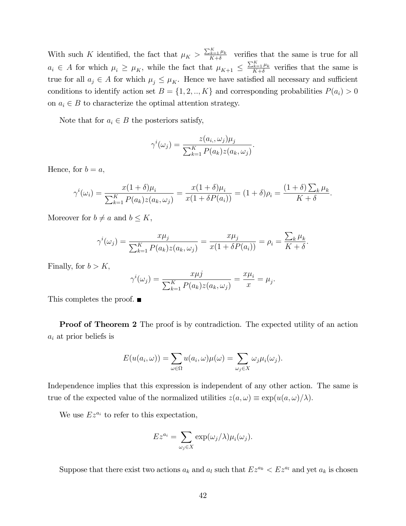With such K identified, the fact that  $\mu_K > \frac{\sum_{k=1}^K \mu_k}{K + \delta}$  $\frac{k+1}{K+\delta}$  verifies that the same is true for all  $a_i \in A$  for which  $\mu_i \ge \mu_K$ , while the fact that  $\mu_{K+1} \le \frac{\sum_{k=1}^K \mu_k}{K+\delta}$  $\frac{k=1 \mu_k}{K+\delta}$  verifies that the same is true for all  $a_j \in A$  for which  $\mu_j \leq \mu_K$ . Hence we have satisfied all necessary and sufficient conditions to identify action set  $B = \{1, 2, ..., K\}$  and corresponding probabilities  $P(a_i) > 0$ on  $a_i \in B$  to characterize the optimal attention strategy.

Note that for  $a_i \in B$  the posteriors satisfy,

$$
\gamma^{i}(\omega_{j}) = \frac{z(a_{i}, \omega_{j})\mu_{j}}{\sum_{k=1}^{K} P(a_{k})z(a_{k}, \omega_{j})}.
$$

Hence, for  $b = a$ ,

$$
\gamma^{i}(\omega_{i}) = \frac{x(1+\delta)\mu_{i}}{\sum_{k=1}^{K} P(a_{k})z(a_{k}, \omega_{j})} = \frac{x(1+\delta)\mu_{i}}{x(1+\delta P(a_{i}))} = (1+\delta)\rho_{i} = \frac{(1+\delta)\sum_{k}\mu_{k}}{K+\delta}.
$$

Moreover for  $b \neq a$  and  $b \leq K$ ,

$$
\gamma^{i}(\omega_{j}) = \frac{x\mu_{j}}{\sum_{k=1}^{K} P(a_{k}) z(a_{k}, \omega_{j})} = \frac{x\mu_{j}}{x(1 + \delta P(a_{i}))} = \rho_{i} = \frac{\sum_{k} \mu_{k}}{K + \delta}.
$$

Finally, for  $b > K$ ,

$$
\gamma^{i}(\omega_{j}) = \frac{x\mu j}{\sum_{k=1}^{K} P(a_{k}) z(a_{k}, \omega_{j})} = \frac{x\mu_{i}}{x} = \mu_{j}.
$$

This completes the proof.  $\blacksquare$ 

**Proof of Theorem 2** The proof is by contradiction. The expected utility of an action  $a_i$  at prior beliefs is

$$
E(u(a_i,\omega)) = \sum_{\omega \in \Omega} u(a_i,\omega)\mu(\omega) = \sum_{\omega_j \in X} \omega_j \mu_i(\omega_j).
$$

Independence implies that this expression is independent of any other action. The same is true of the expected value of the normalized utilities  $z(a, \omega) \equiv \exp(u(a, \omega)/\lambda).$ 

We use  $Ez^{a_i}$  to refer to this expectation,

$$
Ez^{a_i} = \sum_{\omega_j \in X} \exp(\omega_j/\lambda)\mu_i(\omega_j).
$$

Suppose that there exist two actions  $a_k$  and  $a_l$  such that  $Ez^{a_k} < Ez^{a_l}$  and yet  $a_k$  is chosen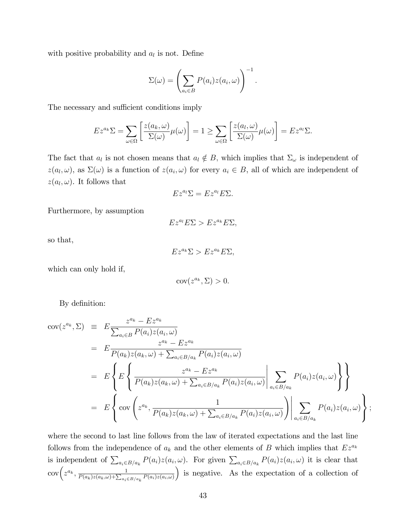with positive probability and  $a_l$  is not. Define

$$
\Sigma(\omega) = \left(\sum_{a_i \in B} P(a_i) z(a_i, \omega)\right)^{-1}.
$$

The necessary and sufficient conditions imply

$$
E z^{a_k} \Sigma = \sum_{\omega \in \Omega} \left[ \frac{z(a_k, \omega)}{\Sigma(\omega)} \mu(\omega) \right] = 1 \ge \sum_{\omega \in \Omega} \left[ \frac{z(a_l, \omega)}{\Sigma(\omega)} \mu(\omega) \right] = E z^{a_l} \Sigma.
$$

The fact that  $a_l$  is not chosen means that  $a_l \notin B$ , which implies that  $\Sigma_{\omega}$  is independent of  $z(a_l, \omega)$ , as  $\Sigma(\omega)$  is a function of  $z(a_i, \omega)$  for every  $a_i \in B$ , all of which are independent of  $z(a_l, \omega)$ . It follows that

$$
Ez^{a_l}\Sigma = Ez^{a_l}E\Sigma.
$$

Furthermore, by assumption

$$
Ez^{a_l}E\Sigma > Ez^{a_k}E\Sigma,
$$

so that,

 $Ez^{a_k}\Sigma > Ez^{a_k}E\Sigma.$ 

which can only hold if,

$$
cov(z^{a_k}, \Sigma) > 0.
$$

By definition:

$$
cov(z^{a_k}, \Sigma) \equiv E \frac{z^{a_k} - Ez^{a_k}}{\sum_{a_i \in B} P(a_i)z(a_i, \omega)}
$$
  
\n
$$
= E \frac{z^{a_k} - Ez^{a_k}}{P(a_k)z(a_k, \omega) + \sum_{a_i \in B/a_k} P(a_i)z(a_i, \omega)}
$$
  
\n
$$
= E \left\{ E \left\{ \frac{z^{a_k} - Ez^{a_k}}{P(a_k)z(a_k, \omega) + \sum_{a_i \in B/a_k} P(a_i)z(a_i, \omega)} \Big| \sum_{a_i \in B/a_k} P(a_i)z(a_i, \omega) \right\} \right\}
$$
  
\n
$$
= E \left\{ cov \left( z^{a_k}, \frac{1}{P(a_k)z(a_k, \omega) + \sum_{a_i \in B/a_k} P(a_i)z(a_i, \omega)} \right) \Big| \sum_{a_i \in B/a_k} P(a_i)z(a_i, \omega) \right\};
$$

where the second to last line follows from the law of iterated expectations and the last line follows from the independence of  $a_k$  and the other elements of B which implies that  $Ez^{a_k}$ is independent of  $\sum_{a_i \in B/a_k} P(a_i)z(a_i,\omega)$ . For given  $\sum_{a_i \in B/a_k} P(a_i)z(a_i,\omega)$  it is clear that  $\operatorname{cov} \biggl( z^{a_k}, \frac{1}{P(a_k)z(a_k, \omega)+\sum_{a_i \in B/a_k} P(a_i)z(a_i, \omega)}$ is negative. As the expectation of a collection of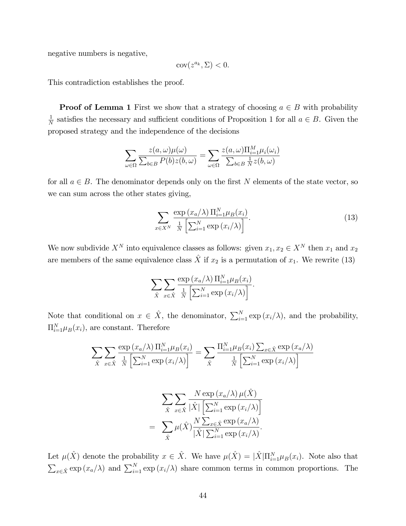negative numbers is negative,

$$
cov(z^{a_k}, \Sigma) < 0.
$$

This contradiction establishes the proof.

**Proof of Lemma 1** First we show that a strategy of choosing  $a \in B$  with probability 1  $\frac{1}{N}$  satisfies the necessary and sufficient conditions of Proposition 1 for all  $a \in B$ . Given the proposed strategy and the independence of the decisions

$$
\sum_{\omega \in \Omega} \frac{z(a,\omega)\mu(\omega)}{\sum_{b \in B} P(b)z(b,\omega)} = \sum_{\omega \in \Omega} \frac{z(a,\omega)\Pi_{i=1}^M \mu_i(\omega_i)}{\sum_{b \in B} \frac{1}{N}z(b,\omega)}
$$

for all  $a \in B$ . The denominator depends only on the first N elements of the state vector, so we can sum across the other states giving,

$$
\sum_{x \in X^N} \frac{\exp\left(x_a/\lambda\right) \Pi_{i=1}^N \mu_B(x_i)}{\frac{1}{N} \left[\sum_{i=1}^N \exp\left(x_i/\lambda\right)\right]}.
$$
\n(13)

We now subdivide  $X^N$  into equivalence classes as follows: given  $x_1, x_2 \in X^N$  then  $x_1$  and  $x_2$ are members of the same equivalence class  $\hat{X}$  if  $x_2$  is a permutation of  $x_1$ . We rewrite (13)

$$
\sum_{\hat{X}} \sum_{x \in \hat{X}} \frac{\exp(x_a/\lambda) \prod_{i=1}^N \mu_B(x_i)}{\frac{1}{N} \left[ \sum_{i=1}^N \exp(x_i/\lambda) \right]}.
$$

Note that conditional on  $x \in \hat{X}$ , the denominator,  $\sum_{i=1}^{N} \exp(x_i/\lambda)$ , and the probability,  $\Pi_{i=1}^{N} \mu_B(x_i)$ , are constant. Therefore

$$
\sum_{\hat{X}} \sum_{x \in \hat{X}} \frac{\exp(x_a/\lambda) \prod_{i=1}^N \mu_B(x_i)}{\frac{1}{N} \left[ \sum_{i=1}^N \exp(x_i/\lambda) \right]} = \sum_{\hat{X}} \frac{\prod_{i=1}^N \mu_B(x_i) \sum_{x \in \hat{X}} \exp(x_a/\lambda)}{\frac{1}{N} \left[ \sum_{i=1}^N \exp(x_i/\lambda) \right]}
$$

$$
\sum_{\hat{X}} \sum_{x \in \hat{X}} \frac{N \exp(x_a/\lambda) \mu(\hat{X})}{|\hat{X}| \left[\sum_{i=1}^N \exp(x_i/\lambda)\right]}
$$

$$
= \sum_{\hat{X}} \mu(\hat{X}) \frac{N \sum_{x \in \hat{X}} \exp(x_a/\lambda)}{|\hat{X}| \sum_{i=1}^N \exp(x_i/\lambda)}.
$$

Let  $\mu(\hat{X})$  denote the probability  $x \in \hat{X}$ . We have  $\mu(\hat{X}) = |\hat{X}|\Pi_{i=1}^{N}\mu_B(x_i)$ . Note also that  $\sum_{x \in \hat{X}} \exp(x_a/\lambda)$  and  $\sum_{i=1}^N \exp(x_i/\lambda)$  share common terms in common proportions. The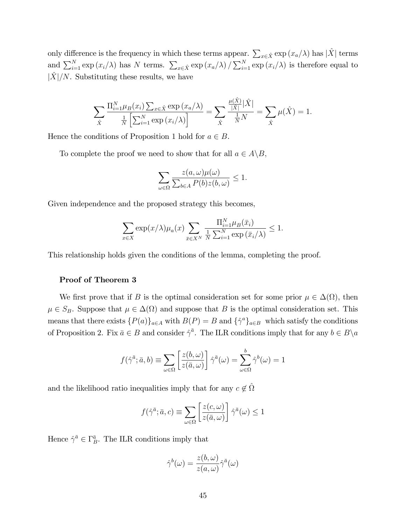only difference is the frequency in which these terms appear.  $\sum_{x \in \hat{X}} \exp(x_a/\lambda)$  has  $|\hat{X}|$  terms and  $\sum_{i=1}^N \exp(x_i/\lambda)$  has N terms.  $\sum_{x \in \hat{X}} \exp(x_a/\lambda) / \sum_{i=1}^N \exp(x_i/\lambda)$  is therefore equal to  $|X|/N$ . Substituting these results, we have

$$
\sum_{\hat{X}} \frac{\Pi_{i=1}^N \mu_B(x_i) \sum_{x \in \hat{X}} \exp(x_a/\lambda)}{\frac{1}{N} \left[ \sum_{i=1}^N \exp(x_i/\lambda) \right]} = \sum_{\hat{X}} \frac{\frac{\mu(\hat{X})}{|\hat{X}|} |\hat{X}|}{\frac{1}{N} N} = \sum_{\hat{X}} \mu(\hat{X}) = 1.
$$

Hence the conditions of Proposition 1 hold for  $a \in B$ .

To complete the proof we need to show that for all  $a \in A \backslash B$ ,

$$
\sum_{\omega \in \Omega} \frac{z(a,\omega)\mu(\omega)}{\sum_{b \in A} P(b)z(b,\omega)} \le 1.
$$

Given independence and the proposed strategy this becomes,

$$
\sum_{x \in X} \exp(x/\lambda) \mu_a(x) \sum_{\bar{x} \in X^N} \frac{\Pi_{i=1}^N \mu_B(\bar{x}_i)}{\frac{1}{N} \sum_{i=1}^N \exp(\bar{x}_i/\lambda)} \le 1.
$$

This relationship holds given the conditions of the lemma, completing the proof.

#### Proof of Theorem 3

We first prove that if B is the optimal consideration set for some prior  $\mu \in \Delta(\Omega)$ , then  $\mu \in S_B$ . Suppose that  $\mu \in \Delta(\Omega)$  and suppose that B is the optimal consideration set. This means that there exists  $\{P(a)\}_{a\in A}$  with  $B(P) = B$  and  $\{\hat{\gamma}^a\}_{a\in B}$  which satisfy the conditions of Proposition 2. Fix  $\bar{a} \in B$  and consider  $\hat{\gamma}^{\bar{a}}$ . The ILR conditions imply that for any  $b \in B \setminus a$ 

$$
f(\hat{\gamma}^{\bar{a}}; \bar{a}, b) \equiv \sum_{\omega \in \Omega} \left[ \frac{z(b, \omega)}{z(\bar{a}, \omega)} \right] \hat{\gamma}^{\bar{a}}(\omega) = \sum_{\omega \in \Omega} \hat{\gamma}^{b}(\omega) = 1
$$

and the likelihood ratio inequalities imply that for any  $c \notin \hat{\Omega}$ 

$$
f(\hat{\gamma}^{\bar{a}}; \bar{a}, c) \equiv \sum_{\omega \in \Omega} \left[ \frac{z(c, \omega)}{z(\bar{a}, \omega)} \right] \hat{\gamma}^{\bar{a}}(\omega) \le 1
$$

Hence  $\hat{\gamma}^{\bar{a}} \in \Gamma_B^{\bar{a}}$ . The ILR conditions imply that

$$
\hat{\gamma}^b(\omega)=\frac{z(b,\omega)}{z(a,\omega)}\hat{\gamma}^{\bar{a}}(\omega)
$$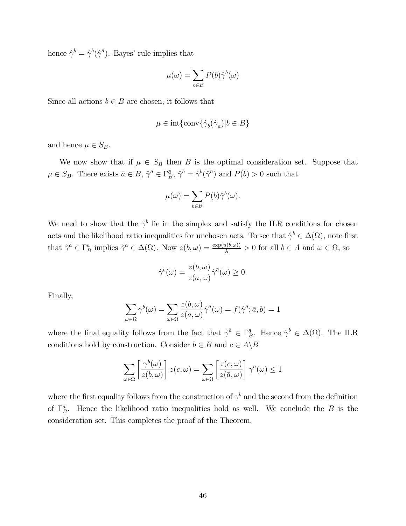hence  $\hat{\gamma}^b = \hat{\gamma}^b(\hat{\gamma}^{\bar{a}})$ . Bayes' rule implies that

$$
\mu(\omega) = \sum_{b \in B} P(b) \hat{\gamma}^b(\omega)
$$

Since all actions  $b \in B$  are chosen, it follows that

$$
\mu \in \text{int}\{\text{conv}\{\hat{\gamma}_b(\hat{\gamma}_a)|b \in B\}
$$

and hence  $\mu \in S_B$ .

We now show that if  $\mu \in S_B$  then B is the optimal consideration set. Suppose that  $\mu \in S_B$ . There exists  $\bar{a} \in B$ ,  $\hat{\gamma}^{\bar{a}} \in \Gamma_B^{\bar{a}}$ ,  $\hat{\gamma}^b = \hat{\gamma}^b(\hat{\gamma}^{\bar{a}})$  and  $P(b) > 0$  such that

$$
\mu(\omega) = \sum_{b \in B} P(b) \hat{\gamma}^b(\omega).
$$

We need to show that the  $\hat{\gamma}^b$  lie in the simplex and satisfy the ILR conditions for chosen acts and the likelihood ratio inequalities for unchosen acts. To see that  $\hat{\gamma}^b \in \Delta(\Omega)$ , note first that  $\hat{\gamma}^{\bar{a}} \in \Gamma_B^{\bar{a}}$  implies  $\hat{\gamma}^{\bar{a}} \in \Delta(\Omega)$ . Now  $z(b,\omega) = \frac{\exp(u(b,\omega))}{\lambda} > 0$  for all  $b \in A$  and  $\omega \in \Omega$ , so

$$
\hat{\gamma}^b(\omega) = \frac{z(b,\omega)}{z(a,\omega)} \hat{\gamma}^{\bar{a}}(\omega) \ge 0.
$$

Finally,

$$
\sum_{\omega \in \Omega} \gamma^{b}(\omega) = \sum_{\omega \in \Omega} \frac{z(b, \omega)}{z(a, \omega)} \hat{\gamma}^{\bar{a}}(\omega) = f(\hat{\gamma}^{\bar{a}}; \bar{a}, b) = 1
$$

where the final equality follows from the fact that  $\hat{\gamma}^{\bar{a}} \in \Gamma_B^{\bar{a}}$ . Hence  $\hat{\gamma}^b \in \Delta(\Omega)$ . The ILR conditions hold by construction. Consider  $b \in B$  and  $c \in A \backslash B$ 

$$
\sum_{\omega \in \Omega} \left[ \frac{\gamma^b(\omega)}{z(b, \omega)} \right] z(c, \omega) = \sum_{\omega \in \Omega} \left[ \frac{z(c, \omega)}{z(\bar{a}, \omega)} \right] \gamma^{\bar{a}}(\omega) \le 1
$$

where the first equality follows from the construction of  $\gamma^b$  and the second from the definition of  $\Gamma_B^{\bar{a}}$ . Hence the likelihood ratio inequalities hold as well. We conclude the B is the consideration set. This completes the proof of the Theorem.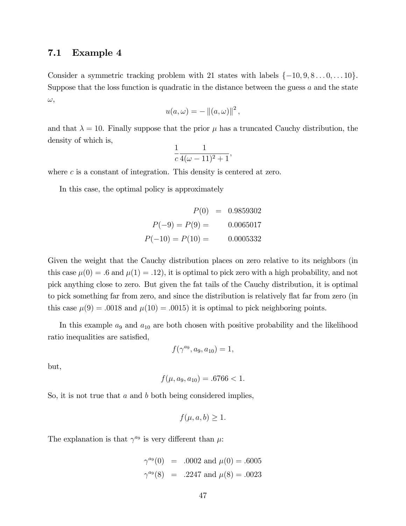### 7.1 Example 4

Consider a symmetric tracking problem with 21 states with labels  $\{-10, 9, 8 \ldots 0, \ldots 10\}$ . Suppose that the loss function is quadratic in the distance between the guess a and the state  $\omega,$ 

$$
u(a,\omega) = - ||(a,\omega)||^2,
$$

and that  $\lambda = 10$ . Finally suppose that the prior  $\mu$  has a truncated Cauchy distribution, the density of which is,

$$
\frac{1}{c}\frac{1}{4(\omega-11)^2+1},
$$

where c is a constant of integration. This density is centered at zero.

In this case, the optimal policy is approximately

$$
P(0) = 0.9859302
$$
  
\n
$$
P(-9) = P(9) = 0.0065017
$$
  
\n
$$
P(-10) = P(10) = 0.0005332
$$

Given the weight that the Cauchy distribution places on zero relative to its neighbors (in this case  $\mu(0) = .6$  and  $\mu(1) = .12$ , it is optimal to pick zero with a high probability, and not pick anything close to zero. But given the fat tails of the Cauchy distribution, it is optimal to pick something far from zero, and since the distribution is relatively flat far from zero (in this case  $\mu(9) = .0018$  and  $\mu(10) = .0015$ ) it is optimal to pick neighboring points.

In this example  $a_9$  and  $a_{10}$  are both chosen with positive probability and the likelihood ratio inequalities are satisfied,

$$
f(\gamma^{a_9}, a_9, a_{10}) = 1,
$$

but,

$$
f(\mu, a_9, a_{10}) = .6766 < 1.
$$

So, it is not true that  $a$  and  $b$  both being considered implies,

$$
f(\mu, a, b) \ge 1.
$$

The explanation is that  $\gamma^{a_9}$  is very different than  $\mu$ .

$$
\gamma^{a_9}(0) = .0002
$$
 and  $\mu(0) = .6005$   
 $\gamma^{a_9}(8) = .2247$  and  $\mu(8) = .0023$